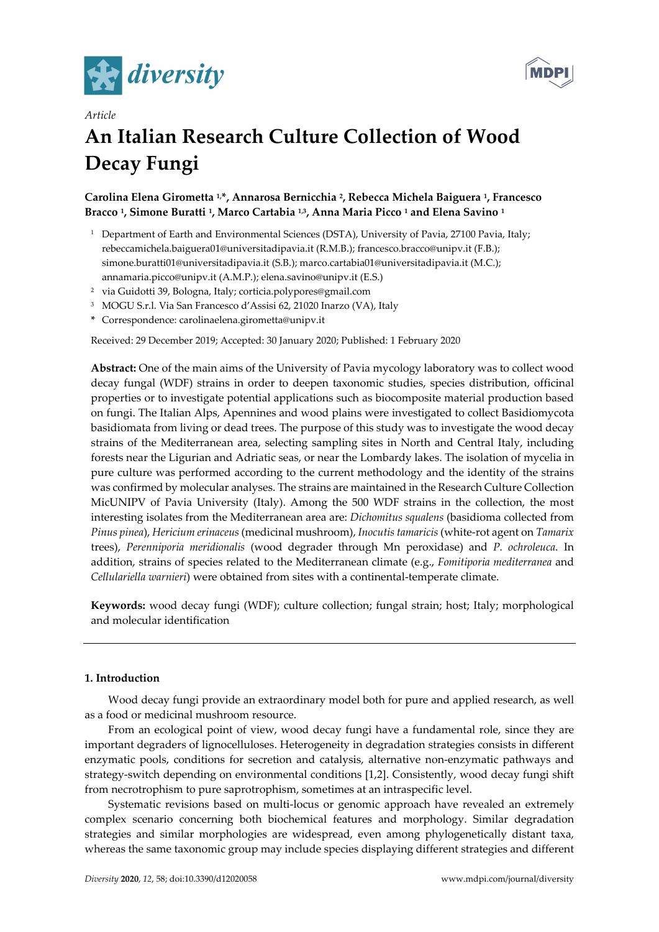



# *Article*  **An Italian Research Culture Collection of Wood Decay Fungi**

## **Carolina Elena Girometta 1,\*, Annarosa Bernicchia 2, Rebecca Michela Baiguera 1, Francesco Bracco 1, Simone Buratti 1, Marco Cartabia 1,3, Anna Maria Picco 1 and Elena Savino 1**

- <sup>1</sup> Department of Earth and Environmental Sciences (DSTA), University of Pavia, 27100 Pavia, Italy; rebeccamichela.baiguera01@universitadipavia.it (R.M.B.); francesco.bracco@unipv.it (F.B.); simone.buratti01@universitadipavia.it (S.B.); marco.cartabia01@universitadipavia.it (M.C.); annamaria.picco@unipv.it (A.M.P.); elena.savino@unipv.it (E.S.)
- 2 via Guidotti 39, Bologna, Italy; corticia.polypores@gmail.com
- 3 MOGU S.r.l. Via San Francesco d'Assisi 62, 21020 Inarzo (VA), Italy
- **\*** Correspondence: carolinaelena.girometta@unipv.it

Received: 29 December 2019; Accepted: 30 January 2020; Published: 1 February 2020

**Abstract:** One of the main aims of the University of Pavia mycology laboratory was to collect wood decay fungal (WDF) strains in order to deepen taxonomic studies, species distribution, officinal properties or to investigate potential applications such as biocomposite material production based on fungi. The Italian Alps, Apennines and wood plains were investigated to collect Basidiomycota basidiomata from living or dead trees. The purpose of this study was to investigate the wood decay strains of the Mediterranean area, selecting sampling sites in North and Central Italy, including forests near the Ligurian and Adriatic seas, or near the Lombardy lakes. The isolation of mycelia in pure culture was performed according to the current methodology and the identity of the strains was confirmed by molecular analyses. The strains are maintained in the Research Culture Collection MicUNIPV of Pavia University (Italy). Among the 500 WDF strains in the collection, the most interesting isolates from the Mediterranean area are: *Dichomitus squalens* (basidioma collected from *Pinus pinea*), *Hericium erinaceus* (medicinal mushroom), *Inocutis tamaricis* (white-rot agent on *Tamarix* trees), *Perenniporia meridionalis* (wood degrader through Mn peroxidase) and *P. ochroleuca*. In addition, strains of species related to the Mediterranean climate (e.g., *Fomitiporia mediterranea* and *Cellulariella warnieri*) were obtained from sites with a continental-temperate climate.

**Keywords:** wood decay fungi (WDF); culture collection; fungal strain; host; Italy; morphological and molecular identification

## **1. Introduction**

Wood decay fungi provide an extraordinary model both for pure and applied research, as well as a food or medicinal mushroom resource.

From an ecological point of view, wood decay fungi have a fundamental role, since they are important degraders of lignocelluloses. Heterogeneity in degradation strategies consists in different enzymatic pools, conditions for secretion and catalysis, alternative non-enzymatic pathways and strategy-switch depending on environmental conditions [1,2]. Consistently, wood decay fungi shift from necrotrophism to pure saprotrophism, sometimes at an intraspecific level.

Systematic revisions based on multi-locus or genomic approach have revealed an extremely complex scenario concerning both biochemical features and morphology. Similar degradation strategies and similar morphologies are widespread, even among phylogenetically distant taxa, whereas the same taxonomic group may include species displaying different strategies and different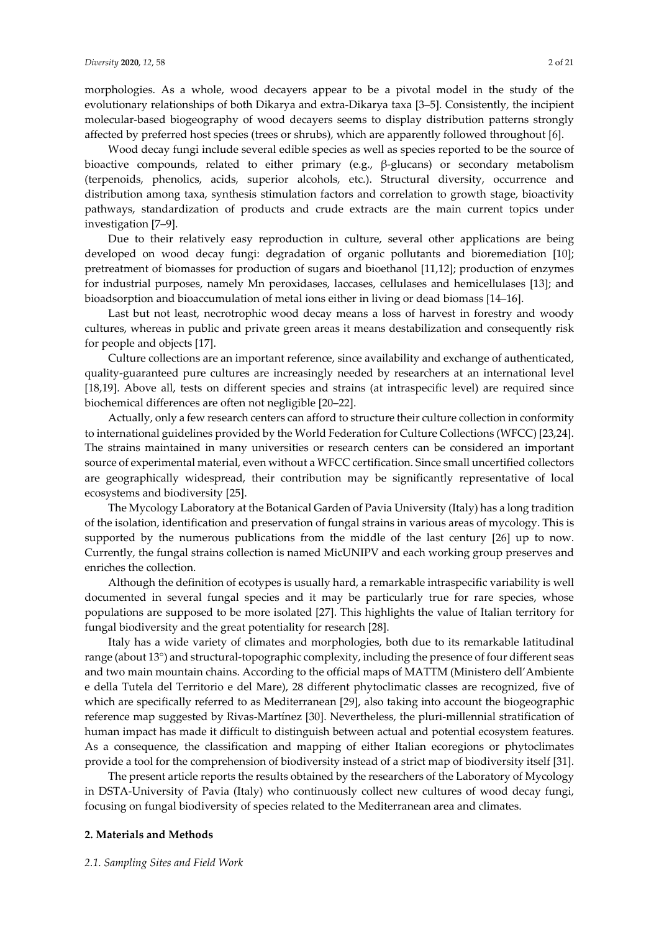morphologies. As a whole, wood decayers appear to be a pivotal model in the study of the evolutionary relationships of both Dikarya and extra-Dikarya taxa [3–5]. Consistently, the incipient molecular-based biogeography of wood decayers seems to display distribution patterns strongly affected by preferred host species (trees or shrubs), which are apparently followed throughout [6].

Wood decay fungi include several edible species as well as species reported to be the source of bioactive compounds, related to either primary (e.g., β-glucans) or secondary metabolism (terpenoids, phenolics, acids, superior alcohols, etc.). Structural diversity, occurrence and distribution among taxa, synthesis stimulation factors and correlation to growth stage, bioactivity pathways, standardization of products and crude extracts are the main current topics under investigation [7–9].

Due to their relatively easy reproduction in culture, several other applications are being developed on wood decay fungi: degradation of organic pollutants and bioremediation [10]; pretreatment of biomasses for production of sugars and bioethanol [11,12]; production of enzymes for industrial purposes, namely Mn peroxidases, laccases, cellulases and hemicellulases [13]; and bioadsorption and bioaccumulation of metal ions either in living or dead biomass [14–16].

Last but not least, necrotrophic wood decay means a loss of harvest in forestry and woody cultures, whereas in public and private green areas it means destabilization and consequently risk for people and objects [17].

Culture collections are an important reference, since availability and exchange of authenticated, quality-guaranteed pure cultures are increasingly needed by researchers at an international level [18,19]. Above all, tests on different species and strains (at intraspecific level) are required since biochemical differences are often not negligible [20–22].

Actually, only a few research centers can afford to structure their culture collection in conformity to international guidelines provided by the World Federation for Culture Collections (WFCC) [23,24]. The strains maintained in many universities or research centers can be considered an important source of experimental material, even without a WFCC certification. Since small uncertified collectors are geographically widespread, their contribution may be significantly representative of local ecosystems and biodiversity [25].

The Mycology Laboratory at the Botanical Garden of Pavia University (Italy) has a long tradition of the isolation, identification and preservation of fungal strains in various areas of mycology. This is supported by the numerous publications from the middle of the last century [26] up to now. Currently, the fungal strains collection is named MicUNIPV and each working group preserves and enriches the collection.

Although the definition of ecotypes is usually hard, a remarkable intraspecific variability is well documented in several fungal species and it may be particularly true for rare species, whose populations are supposed to be more isolated [27]. This highlights the value of Italian territory for fungal biodiversity and the great potentiality for research [28].

Italy has a wide variety of climates and morphologies, both due to its remarkable latitudinal range (about 13°) and structural-topographic complexity, including the presence of four different seas and two main mountain chains. According to the official maps of MATTM (Ministero dell'Ambiente e della Tutela del Territorio e del Mare), 28 different phytoclimatic classes are recognized, five of which are specifically referred to as Mediterranean [29], also taking into account the biogeographic reference map suggested by Rivas-Martínez [30]. Nevertheless, the pluri-millennial stratification of human impact has made it difficult to distinguish between actual and potential ecosystem features. As a consequence, the classification and mapping of either Italian ecoregions or phytoclimates provide a tool for the comprehension of biodiversity instead of a strict map of biodiversity itself [31].

The present article reports the results obtained by the researchers of the Laboratory of Mycology in DSTA-University of Pavia (Italy) who continuously collect new cultures of wood decay fungi, focusing on fungal biodiversity of species related to the Mediterranean area and climates.

#### **2. Materials and Methods**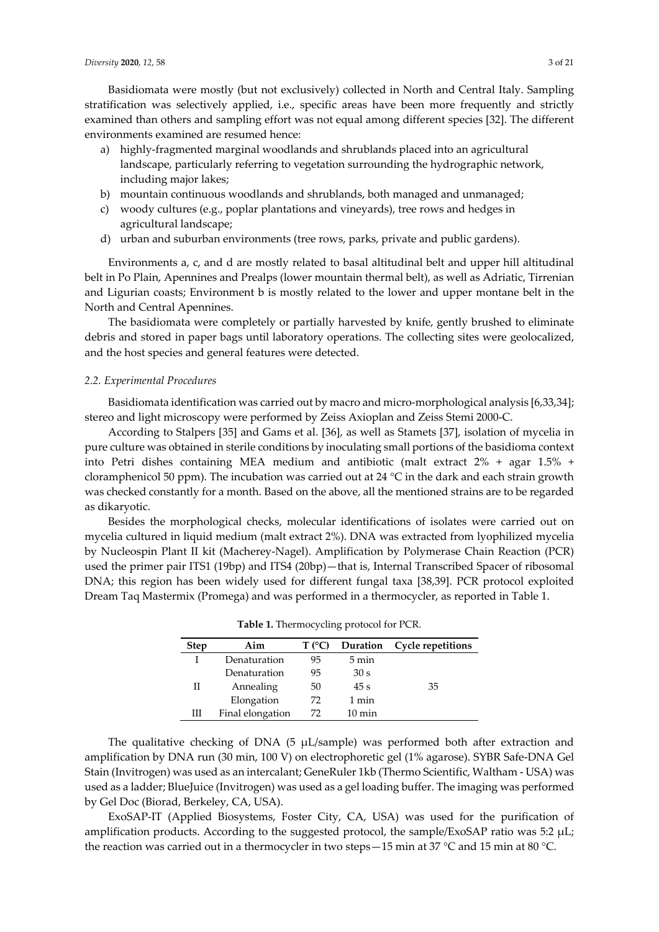Basidiomata were mostly (but not exclusively) collected in North and Central Italy. Sampling stratification was selectively applied, i.e., specific areas have been more frequently and strictly examined than others and sampling effort was not equal among different species [32]. The different environments examined are resumed hence:

- a) highly-fragmented marginal woodlands and shrublands placed into an agricultural landscape, particularly referring to vegetation surrounding the hydrographic network, including major lakes;
- b) mountain continuous woodlands and shrublands, both managed and unmanaged;
- c) woody cultures (e.g., poplar plantations and vineyards), tree rows and hedges in agricultural landscape;
- d) urban and suburban environments (tree rows, parks, private and public gardens).

Environments a, c, and d are mostly related to basal altitudinal belt and upper hill altitudinal belt in Po Plain, Apennines and Prealps (lower mountain thermal belt), as well as Adriatic, Tirrenian and Ligurian coasts; Environment b is mostly related to the lower and upper montane belt in the North and Central Apennines.

The basidiomata were completely or partially harvested by knife, gently brushed to eliminate debris and stored in paper bags until laboratory operations. The collecting sites were geolocalized, and the host species and general features were detected.

#### *2.2. Experimental Procedures*

Basidiomata identification was carried out by macro and micro-morphological analysis [6,33,34]; stereo and light microscopy were performed by Zeiss Axioplan and Zeiss Stemi 2000-C.

According to Stalpers [35] and Gams et al. [36], as well as Stamets [37], isolation of mycelia in pure culture was obtained in sterile conditions by inoculating small portions of the basidioma context into Petri dishes containing MEA medium and antibiotic (malt extract 2% + agar 1.5% + cloramphenicol 50 ppm). The incubation was carried out at 24 °C in the dark and each strain growth was checked constantly for a month. Based on the above, all the mentioned strains are to be regarded as dikaryotic.

Besides the morphological checks, molecular identifications of isolates were carried out on mycelia cultured in liquid medium (malt extract 2%). DNA was extracted from lyophilized mycelia by Nucleospin Plant II kit (Macherey-Nagel). Amplification by Polymerase Chain Reaction (PCR) used the primer pair ITS1 (19bp) and ITS4 (20bp) — that is, Internal Transcribed Spacer of ribosomal DNA; this region has been widely used for different fungal taxa [38,39]. PCR protocol exploited Dream Taq Mastermix (Promega) and was performed in a thermocycler, as reported in Table 1.

|             | <b>Table 1.</b> Thermocycling protocol for FCK. |        |                  |                          |
|-------------|-------------------------------------------------|--------|------------------|--------------------------|
| <b>Step</b> | Aim                                             | T (°C) | Duration         | <b>Cycle repetitions</b> |
|             | Denaturation                                    | 95     | $5 \text{ min}$  |                          |
|             | Denaturation                                    | 95     | 30 <sub>s</sub>  |                          |
| Н           | Annealing                                       | 50     | 45s              | 35                       |
|             | Elongation                                      | 72     | 1 min            |                          |
| Ш           | Final elongation                                | 72     | $10 \text{ min}$ |                          |

**Table 1.** Thermocycling protocol for PCR.

The qualitative checking of DNA (5  $\mu$ L/sample) was performed both after extraction and amplification by DNA run (30 min, 100 V) on electrophoretic gel (1% agarose). SYBR Safe-DNA Gel Stain (Invitrogen) was used as an intercalant; GeneRuler 1kb (Thermo Scientific, Waltham - USA) was used as a ladder; BlueJuice (Invitrogen) was used as a gel loading buffer. The imaging was performed by Gel Doc (Biorad, Berkeley, CA, USA).

ExoSAP-IT (Applied Biosystems, Foster City, CA, USA) was used for the purification of amplification products. According to the suggested protocol, the sample/ExoSAP ratio was 5:2 μL; the reaction was carried out in a thermocycler in two steps—15 min at 37 °C and 15 min at 80 °C.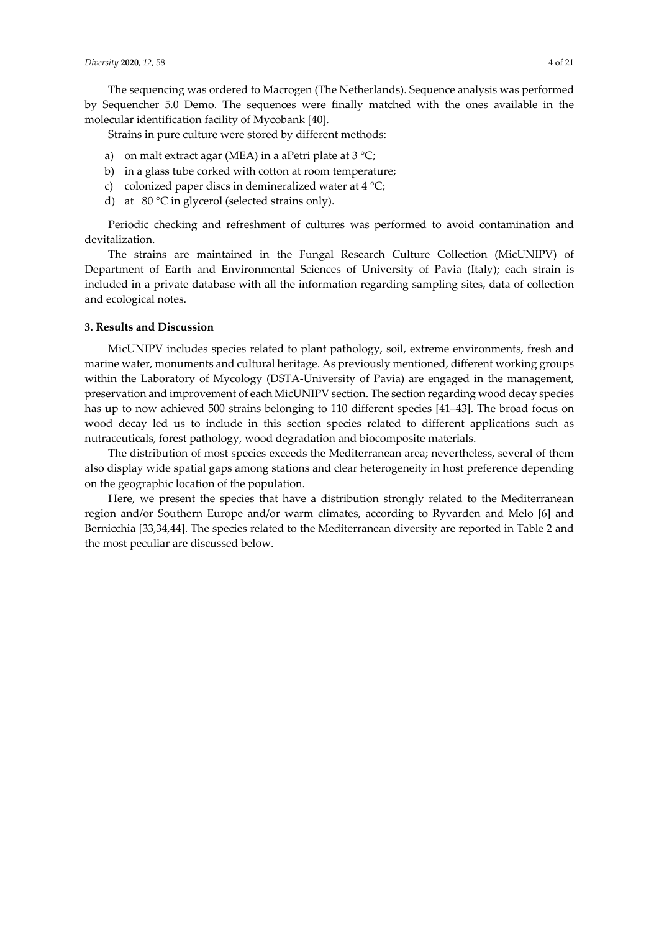The sequencing was ordered to Macrogen (The Netherlands). Sequence analysis was performed by Sequencher 5.0 Demo. The sequences were finally matched with the ones available in the molecular identification facility of Mycobank [40].

Strains in pure culture were stored by different methods:

- a) on malt extract agar (MEA) in a aPetri plate at  $3 °C$ ;
- b) in a glass tube corked with cotton at room temperature;
- c) colonized paper discs in demineralized water at  $4^{\circ}C$ ;
- d) at −80 °C in glycerol (selected strains only).

Periodic checking and refreshment of cultures was performed to avoid contamination and devitalization.

The strains are maintained in the Fungal Research Culture Collection (MicUNIPV) of Department of Earth and Environmental Sciences of University of Pavia (Italy); each strain is included in a private database with all the information regarding sampling sites, data of collection and ecological notes.

#### **3. Results and Discussion**

MicUNIPV includes species related to plant pathology, soil, extreme environments, fresh and marine water, monuments and cultural heritage. As previously mentioned, different working groups within the Laboratory of Mycology (DSTA-University of Pavia) are engaged in the management, preservation and improvement of each MicUNIPV section. The section regarding wood decay species has up to now achieved 500 strains belonging to 110 different species [41–43]. The broad focus on wood decay led us to include in this section species related to different applications such as nutraceuticals, forest pathology, wood degradation and biocomposite materials.

The distribution of most species exceeds the Mediterranean area; nevertheless, several of them also display wide spatial gaps among stations and clear heterogeneity in host preference depending on the geographic location of the population.

Here, we present the species that have a distribution strongly related to the Mediterranean region and/or Southern Europe and/or warm climates, according to Ryvarden and Melo [6] and Bernicchia [33,34,44]. The species related to the Mediterranean diversity are reported in Table 2 and the most peculiar are discussed below.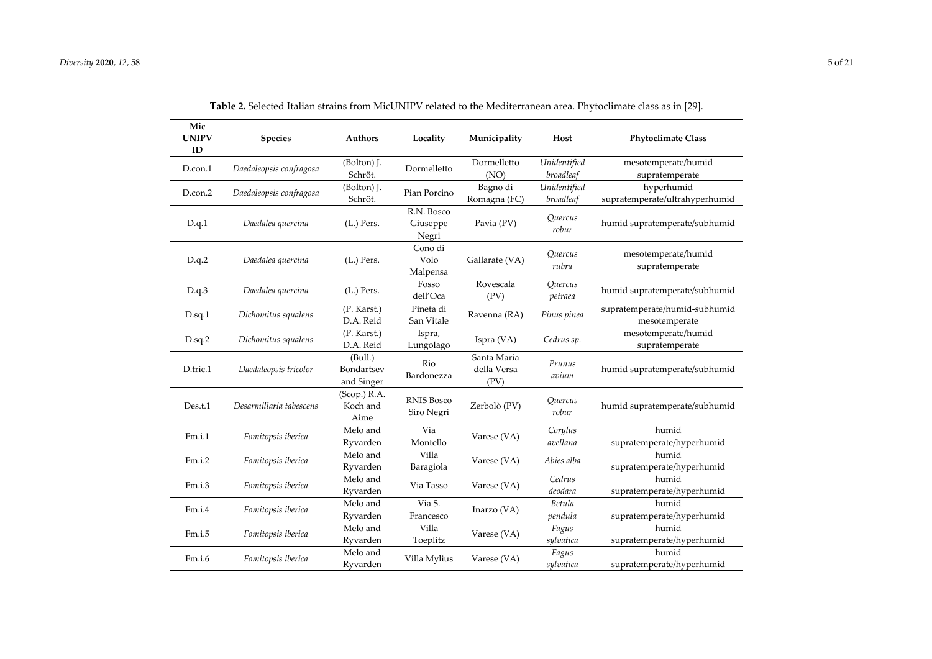| Mic<br><b>UNIPV</b><br>ID | <b>Species</b>          | Authors                             | Locality                        | Municipality                       | Host                      | <b>Phytoclimate Class</b>                      |
|---------------------------|-------------------------|-------------------------------------|---------------------------------|------------------------------------|---------------------------|------------------------------------------------|
| D.con.1                   | Daedaleopsis confragosa | (Bolton) J.<br>Schröt.              | Dormelletto                     | Dormelletto<br>(NO)                | Unidentified<br>broadleaf | mesotemperate/humid<br>supratemperate          |
| D.con.2                   | Daedaleopsis confragosa | (Bolton) J.<br>Schröt.              | Pian Porcino                    | Bagno di<br>Romagna (FC)           | Unidentified<br>broadleaf | hyperhumid<br>supratemperate/ultrahyperhumid   |
| D.q.1                     | Daedalea quercina       | $(L.)$ Pers.                        | R.N. Bosco<br>Giuseppe<br>Negri | Pavia (PV)                         | Quercus<br>robur          | humid supratemperate/subhumid                  |
| D.q.2                     | Daedalea quercina       | $(L.)$ Pers.                        | Cono di<br>Volo<br>Malpensa     | Gallarate (VA)                     | Ouercus<br>rubra          | mesotemperate/humid<br>supratemperate          |
| D.q.3                     | Daedalea quercina       | (L.) Pers.                          | Fosso<br>dell'Oca               | Rovescala<br>(PV)                  | Quercus<br>petraea        | humid supratemperate/subhumid                  |
| D.sq.1                    | Dichomitus squalens     | (P. Karst.)<br>D.A. Reid            | Pineta di<br>San Vitale         | Ravenna (RA)                       | Pinus pinea               | supratemperate/humid-subhumid<br>mesotemperate |
| $D.\text{sq}.2$           | Dichomitus squalens     | (P. Karst.)<br>D.A. Reid            | Ispra,<br>Lungolago             | Ispra (VA)                         | Cedrus sp.                | mesotemperate/humid<br>supratemperate          |
| D.tric.1                  | Daedaleopsis tricolor   | (Bull.)<br>Bondartsev<br>and Singer | Rio<br>Bardonezza               | Santa Maria<br>della Versa<br>(PV) | Prunus<br>avium           | humid supratemperate/subhumid                  |
| Des.t.1                   | Desarmillaria tabescens | $(Scop.)$ R.A.<br>Koch and<br>Aime  | <b>RNIS Bosco</b><br>Siro Negri | Zerbolò (PV)                       | Quercus<br>robur          | humid supratemperate/subhumid                  |
| Fm.i.1                    | Fomitopsis iberica      | Melo and<br>Ryvarden                | Via<br>Montello                 | Varese (VA)                        | Corylus<br>avellana       | humid<br>supratemperate/hyperhumid             |
| Fm.i.2                    | Fomitopsis iberica      | Melo and<br>Ryvarden                | Villa<br>Baragiola              | Varese (VA)                        | Abies alba                | humid<br>supratemperate/hyperhumid             |
| Fm.i.3                    | Fomitopsis iberica      | Melo and<br>Ryvarden                | Via Tasso                       | Varese (VA)                        | Cedrus<br>deodara         | humid<br>supratemperate/hyperhumid             |
| Fm.i.4                    | Fomitopsis iberica      | Melo and<br>Ryvarden                | Via S.<br>Francesco             | Inarzo (VA)                        | Betula<br>pendula         | humid<br>supratemperate/hyperhumid             |
| Fm.i.5                    | Fomitopsis iberica      | Melo and<br>Ryvarden                | Villa<br>Toeplitz               | Varese (VA)                        | Fagus<br>sylvatica        | humid<br>supratemperate/hyperhumid             |
| Fm.i.6                    | Fomitopsis iberica      | Melo and<br>Ryvarden                | Villa Mylius                    | Varese (VA)                        | Fagus<br>sylvatica        | humid<br>supratemperate/hyperhumid             |

**Table 2.** Selected Italian strains from MicUNIPV related to the Mediterranean area. Phytoclimate class as in [29].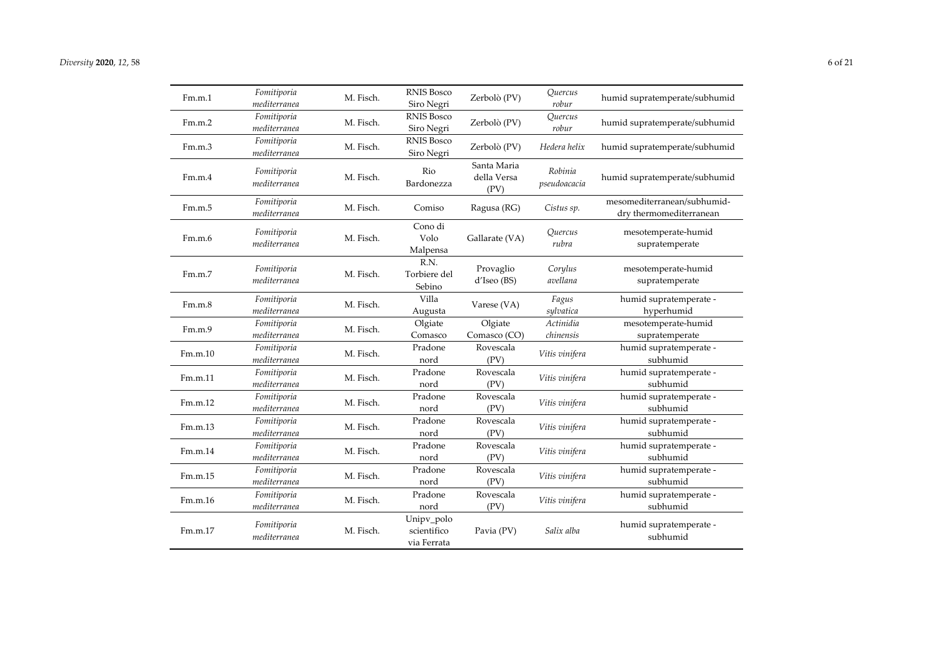| Fm.m.1  | Fomitiporia<br>mediterranea | M. Fisch. | <b>RNIS Bosco</b><br>Siro Negri          | Zerbolò (PV)                       | <i><u><b>Ouercus</b></u></i><br>robur | humid supratemperate/subhumid                          |
|---------|-----------------------------|-----------|------------------------------------------|------------------------------------|---------------------------------------|--------------------------------------------------------|
| Fm.m.2  | Fomitiporia<br>mediterranea | M. Fisch. | <b>RNIS Bosco</b><br>Siro Negri          | Zerbolò (PV)                       | Quercus<br>robur                      | humid supratemperate/subhumid                          |
| Fm.m.3  | Fomitiporia<br>mediterranea | M. Fisch. | <b>RNIS Bosco</b><br>Siro Negri          | Zerbolò (PV)                       | Hedera helix                          | humid supratemperate/subhumid                          |
| Fm.m.4  | Fomitiporia<br>mediterranea | M. Fisch. | Rio<br>Bardonezza                        | Santa Maria<br>della Versa<br>(PV) | Robinia<br>pseudoacacia               | humid supratemperate/subhumid                          |
| Fm.m.5  | Fomitiporia<br>mediterranea | M. Fisch. | Comiso                                   | Ragusa (RG)                        | Cistus sp.                            | mesomediterranean/subhumid-<br>dry thermomediterranean |
| Fm.m.6  | Fomitiporia<br>mediterranea | M. Fisch. | Cono di<br>Volo<br>Malpensa              | Gallarate (VA)                     | Quercus<br>rubra                      | mesotemperate-humid<br>supratemperate                  |
| Fm.m.7  | Fomitiporia<br>mediterranea | M. Fisch. | R.N.<br>Torbiere del<br>Sebino           | Provaglio<br>d'Iseo (BS)           | Corylus<br>avellana                   | mesotemperate-humid<br>supratemperate                  |
| Fm.m.8  | Fomitiporia<br>mediterranea | M. Fisch. | Villa<br>Augusta                         | Varese (VA)                        | Fagus<br>sylvatica                    | humid supratemperate -<br>hyperhumid                   |
| Fm.m.9  | Fomitiporia<br>mediterranea | M. Fisch. | Olgiate<br>Comasco                       | Olgiate<br>Comasco (CO)            | Actinidia<br>chinensis                | mesotemperate-humid<br>supratemperate                  |
| Fm.m.10 | Fomitiporia<br>mediterranea | M. Fisch. | Pradone<br>nord                          | Rovescala<br>(PV)                  | Vitis vinifera                        | humid supratemperate -<br>subhumid                     |
| Fm.m.11 | Fomitiporia<br>mediterranea | M. Fisch. | Pradone<br>nord                          | Rovescala<br>(PV)                  | Vitis vinifera                        | humid supratemperate -<br>subhumid                     |
| Fm.m.12 | Fomitiporia<br>mediterranea | M. Fisch. | Pradone<br>nord                          | Rovescala<br>(PV)                  | Vitis vinifera                        | humid supratemperate -<br>subhumid                     |
| Fm.m.13 | Fomitiporia<br>mediterranea | M. Fisch. | Pradone<br>nord                          | Rovescala<br>(PV)                  | Vitis vinifera                        | humid supratemperate -<br>subhumid                     |
| Fm.m.14 | Fomitiporia<br>mediterranea | M. Fisch. | Pradone<br>nord                          | Rovescala<br>(PV)                  | Vitis vinifera                        | humid supratemperate -<br>subhumid                     |
| Fm.m.15 | Fomitiporia<br>mediterranea | M. Fisch. | Pradone<br>nord                          | Rovescala<br>(PV)                  | Vitis vinifera                        | humid supratemperate -<br>subhumid                     |
| Fm.m.16 | Fomitiporia<br>mediterranea | M. Fisch. | Pradone<br>nord                          | Rovescala<br>(PV)                  | Vitis vinifera                        | humid supratemperate -<br>subhumid                     |
| Fm.m.17 | Fomitiporia<br>mediterranea | M. Fisch. | Unipv_polo<br>scientifico<br>via Ferrata | Pavia (PV)                         | Salix alba                            | humid supratemperate -<br>subhumid                     |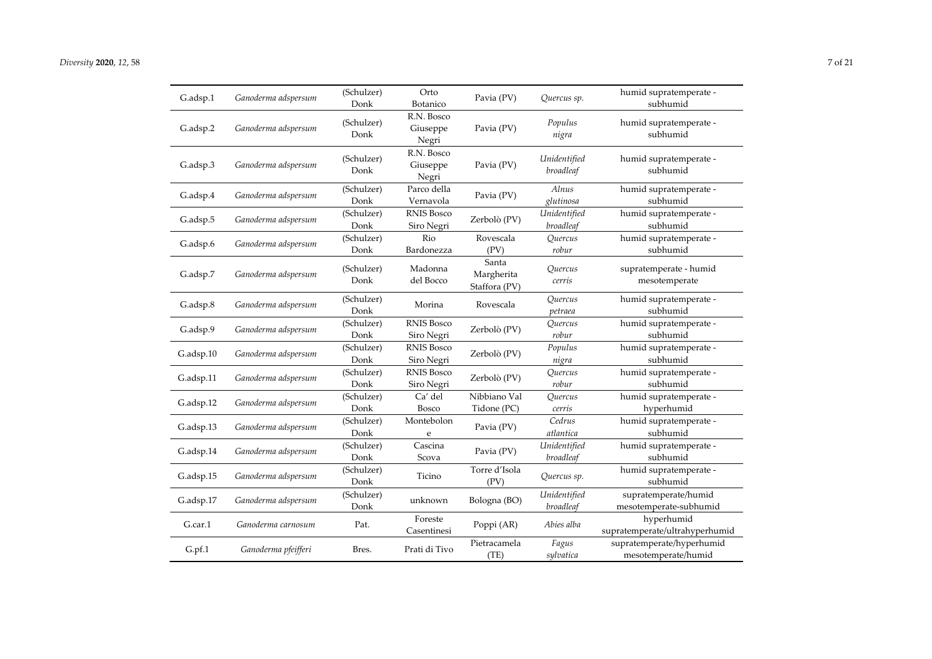| G.adsp.1  | Ganoderma adspersum | (Schulzer)<br>Donk | Orto<br>Botanico                | Pavia (PV)                           | Quercus sp.                            | humid supratemperate -<br>subhumid               |
|-----------|---------------------|--------------------|---------------------------------|--------------------------------------|----------------------------------------|--------------------------------------------------|
| G.adsp.2  | Ganoderma adspersum | (Schulzer)<br>Donk | R.N. Bosco<br>Giuseppe<br>Negri | Pavia (PV)                           | Populus<br>nigra                       | humid supratemperate -<br>subhumid               |
| G.adsp.3  | Ganoderma adspersum | (Schulzer)<br>Donk | R.N. Bosco<br>Giuseppe<br>Negri | Pavia (PV)                           | Unidentified<br>broadleaf              | humid supratemperate -<br>subhumid               |
| G.adsp.4  | Ganoderma adspersum | (Schulzer)<br>Donk | Parco della<br>Vernavola        | Pavia (PV)                           | Alnus<br>glutinosa                     | humid supratemperate -<br>subhumid               |
| G.adsp.5  | Ganoderma adspersum | (Schulzer)<br>Donk | <b>RNIS Bosco</b><br>Siro Negri | Zerbolò (PV)                         | Unidentified<br>broadleaf              | humid supratemperate -<br>subhumid               |
| G.adsp.6  | Ganoderma adspersum | (Schulzer)<br>Donk | Rio<br>Bardonezza               | Rovescala<br>(PV)                    | <i><u>Ouercus</u></i><br>robur         | humid supratemperate -<br>subhumid               |
| G.adsp.7  | Ganoderma adspersum | (Schulzer)<br>Donk | Madonna<br>del Bocco            | Santa<br>Margherita<br>Staffora (PV) | <i><u>Ouercus</u></i><br>cerris        | supratemperate - humid<br>mesotemperate          |
| G.adsp.8  | Ganoderma adspersum | (Schulzer)<br>Donk | Morina                          | Rovescala                            | Ouercus<br>petraea                     | humid supratemperate -<br>subhumid               |
| G.adsp.9  | Ganoderma adspersum | (Schulzer)<br>Donk | <b>RNIS Bosco</b><br>Siro Negri | Zerbolò (PV)                         | Quercus<br>robur                       | humid supratemperate -<br>subhumid               |
| G.adsp.10 | Ganoderma adspersum | (Schulzer)<br>Donk | <b>RNIS Bosco</b><br>Siro Negri | Zerbolò (PV)                         | Populus<br>nigra                       | humid supratemperate -<br>subhumid               |
| G.adsp.11 | Ganoderma adspersum | (Schulzer)<br>Donk | <b>RNIS Bosco</b><br>Siro Negri | Zerbolò (PV)                         | <i><u>Ouercus</u></i><br>robur         | humid supratemperate -<br>subhumid               |
| G.adsp.12 | Ganoderma adspersum | (Schulzer)<br>Donk | Ca' del<br>Bosco                | Nibbiano Val<br>Tidone (PC)          | <i><u><b>Ouercus</b></u></i><br>cerris | humid supratemperate -<br>hyperhumid             |
| G.adsp.13 | Ganoderma adspersum | (Schulzer)<br>Donk | Montebolon<br>e                 | Pavia (PV)                           | Cedrus<br>atlantica                    | humid supratemperate -<br>subhumid               |
| G.adsp.14 | Ganoderma adspersum | (Schulzer)<br>Donk | Cascina<br>Scova                | Pavia (PV)                           | Unidentified<br>broadleaf              | humid supratemperate -<br>subhumid               |
| G.adsp.15 | Ganoderma adspersum | (Schulzer)<br>Donk | Ticino                          | Torre d'Isola<br>(PV)                | Quercus sp.                            | humid supratemperate -<br>subhumid               |
| G.adsp.17 | Ganoderma adspersum | (Schulzer)<br>Donk | unknown                         | Bologna (BO)                         | Unidentified<br>broadleaf              | supratemperate/humid<br>mesotemperate-subhumid   |
| G.car.1   | Ganoderma carnosum  | Pat.               | Foreste<br>Casentinesi          | Poppi (AR)                           | Abies alba                             | hyperhumid<br>supratemperate/ultrahyperhumid     |
| G.pf.1    | Ganoderma pfeifferi | Bres.              | Prati di Tivo                   | Pietracamela<br>(TE)                 | Fagus<br>sylvatica                     | supratemperate/hyperhumid<br>mesotemperate/humid |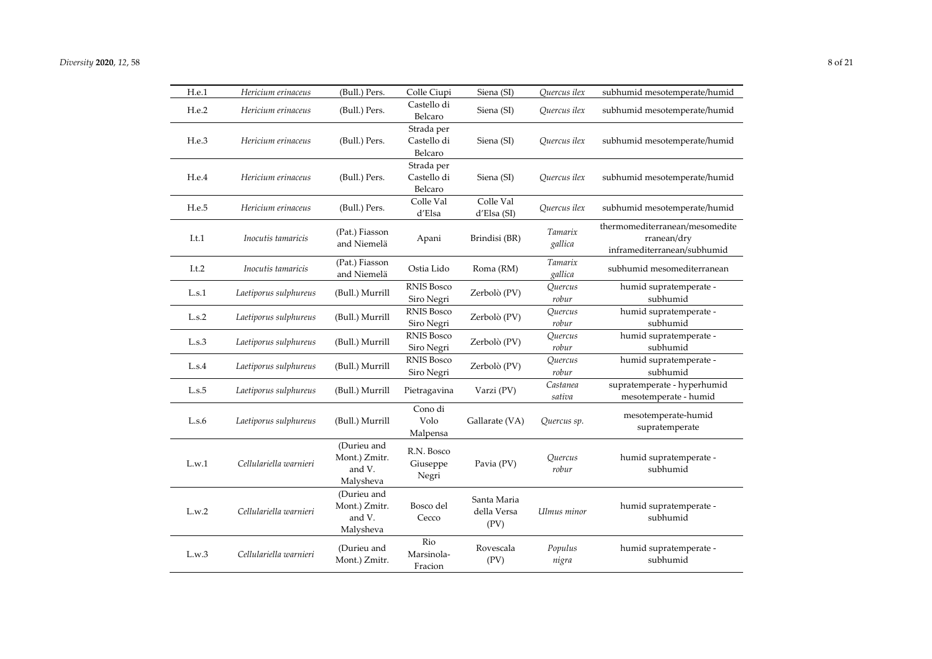| H.e.1 | Hericium erinaceus     | (Bull.) Pers.                                       | Colle Ciupi                          | Siena (SI)                         | Quercus ilex                          | subhumid mesotemperate/humid                                                 |
|-------|------------------------|-----------------------------------------------------|--------------------------------------|------------------------------------|---------------------------------------|------------------------------------------------------------------------------|
| H.e.2 | Hericium erinaceus     | (Bull.) Pers.                                       | Castello di<br>Belcaro               | Siena (SI)                         | Quercus ilex                          | subhumid mesotemperate/humid                                                 |
| H.e.3 | Hericium erinaceus     | (Bull.) Pers.                                       | Strada per<br>Castello di<br>Belcaro | Siena (SI)                         | Ouercus ilex                          | subhumid mesotemperate/humid                                                 |
| H.e.4 | Hericium erinaceus     | (Bull.) Pers.                                       | Strada per<br>Castello di<br>Belcaro | Siena (SI)                         | Quercus ilex                          | subhumid mesotemperate/humid                                                 |
| H.e.5 | Hericium erinaceus     | (Bull.) Pers.                                       | Colle Val<br>d'Elsa                  | Colle Val<br>d'Elsa (SI)           | Quercus ilex                          | subhumid mesotemperate/humid                                                 |
| I.t.1 | Inocutis tamaricis     | (Pat.) Fiasson<br>and Niemelä                       | Apani                                | Brindisi (BR)                      | Tamarix<br>gallica                    | thermomediterranean/mesomedite<br>rranean/dry<br>inframediterranean/subhumid |
| I.t.2 | Inocutis tamaricis     | (Pat.) Fiasson<br>and Niemelä                       | Ostia Lido                           | Roma (RM)                          | Tamarix<br>gallica                    | subhumid mesomediterranean                                                   |
| L.s.1 | Laetiporus sulphureus  | (Bull.) Murrill                                     | <b>RNIS Bosco</b><br>Siro Negri      | Zerbolò (PV)                       | Quercus<br>robur                      | humid supratemperate -<br>subhumid                                           |
| L.s.2 | Laetiporus sulphureus  | (Bull.) Murrill                                     | <b>RNIS Bosco</b><br>Siro Negri      | Zerbolò (PV)                       | <i><u><b>Ouercus</b></u></i><br>robur | humid supratemperate -<br>subhumid                                           |
| L.s.3 | Laetiporus sulphureus  | (Bull.) Murrill                                     | <b>RNIS Bosco</b><br>Siro Negri      | Zerbolò (PV)                       | Quercus<br>robur                      | humid supratemperate -<br>subhumid                                           |
| L.S.4 | Laetiporus sulphureus  | (Bull.) Murrill                                     | <b>RNIS Bosco</b><br>Siro Negri      | Zerbolò (PV)                       | Quercus<br>robur                      | humid supratemperate -<br>subhumid                                           |
| L.s.5 | Laetiporus sulphureus  | (Bull.) Murrill                                     | Pietragavina                         | Varzi (PV)                         | Castanea<br>sativa                    | supratemperate - hyperhumid<br>mesotemperate - humid                         |
| L.s.6 | Laetiporus sulphureus  | (Bull.) Murrill                                     | Cono di<br>Volo<br>Malpensa          | Gallarate (VA)                     | Quercus sp.                           | mesotemperate-humid<br>supratemperate                                        |
| L.w.1 | Cellulariella warnieri | (Durieu and<br>Mont.) Zmitr.<br>and V.<br>Malysheva | R.N. Bosco<br>Giuseppe<br>Negri      | Pavia (PV)                         | Quercus<br>robur                      | humid supratemperate -<br>subhumid                                           |
| L.w.2 | Cellulariella warnieri | (Durieu and<br>Mont.) Zmitr.<br>and V.<br>Malysheva | Bosco del<br>Cecco                   | Santa Maria<br>della Versa<br>(PV) | Ulmus minor                           | humid supratemperate -<br>subhumid                                           |
| L.w.3 | Cellulariella warnieri | (Durieu and<br>Mont.) Zmitr.                        | Rio<br>Marsinola-<br>Fracion         | Rovescala<br>(PV)                  | Populus<br>nigra                      | humid supratemperate -<br>subhumid                                           |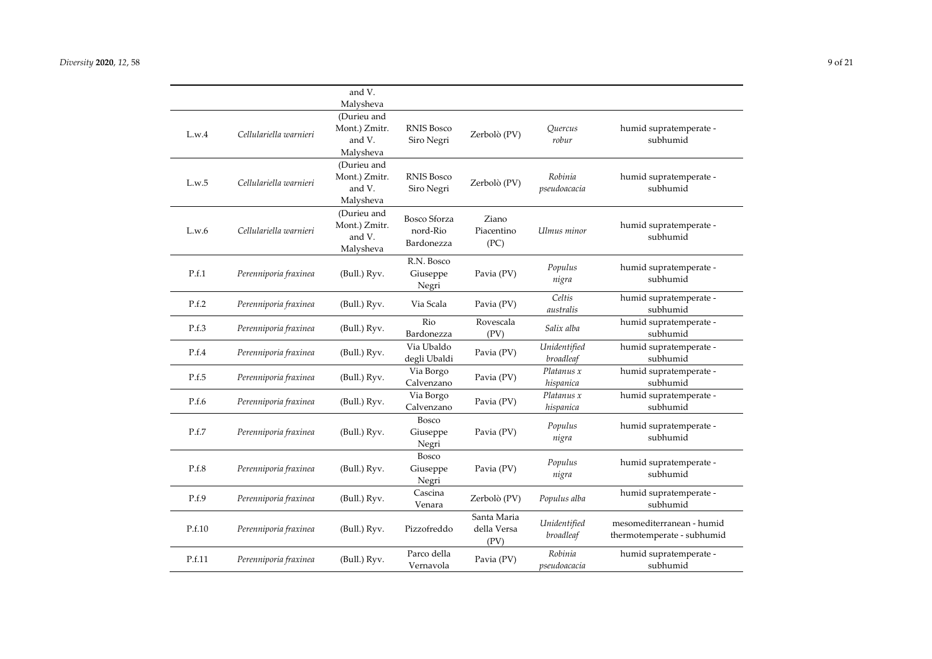|        |                        | and V.<br>Malysheva                                 |                                        |                                    |                           |                                                         |
|--------|------------------------|-----------------------------------------------------|----------------------------------------|------------------------------------|---------------------------|---------------------------------------------------------|
| L.w.4  | Cellulariella warnieri | (Durieu and<br>Mont.) Zmitr.<br>and V.<br>Malysheva | <b>RNIS Bosco</b><br>Siro Negri        | Zerbolò (PV)                       | Quercus<br>robur          | humid supratemperate -<br>subhumid                      |
| L.w.5  | Cellulariella warnieri | (Durieu and<br>Mont.) Zmitr.<br>and V.<br>Malysheva | <b>RNIS Bosco</b><br>Siro Negri        | Zerbolò (PV)                       | Robinia<br>pseudoacacia   | humid supratemperate -<br>subhumid                      |
| L.w.6  | Cellulariella warnieri | (Durieu and<br>Mont.) Zmitr.<br>and V.<br>Malysheva | Bosco Sforza<br>nord-Rio<br>Bardonezza | Ziano<br>Piacentino<br>(PC)        | Ulmus minor               | humid supratemperate -<br>subhumid                      |
| P.f.1  | Perenniporia fraxinea  | (Bull.) Ryv.                                        | R.N. Bosco<br>Giuseppe<br>Negri        | Pavia (PV)                         | Populus<br>nigra          | humid supratemperate -<br>subhumid                      |
| P.f.2  | Perenniporia fraxinea  | (Bull.) Ryv.                                        | Via Scala                              | Pavia (PV)                         | Celtis<br>australis       | humid supratemperate -<br>subhumid                      |
| P.f.3  | Perenniporia fraxinea  | (Bull.) Ryv.                                        | Rio<br>Bardonezza                      | Rovescala<br>(PV)                  | Salix alba                | humid supratemperate -<br>subhumid                      |
| P.f.4  | Perenniporia fraxinea  | (Bull.) Ryv.                                        | Via Ubaldo<br>degli Ubaldi             | Pavia (PV)                         | Unidentified<br>broadleaf | humid supratemperate -<br>subhumid                      |
| P.f.5  | Perenniporia fraxinea  | (Bull.) Ryv.                                        | Via Borgo<br>Calvenzano                | Pavia (PV)                         | Platanus x<br>hispanica   | humid supratemperate -<br>subhumid                      |
| P.f.6  | Perenniporia fraxinea  | (Bull.) Ryv.                                        | Via Borgo<br>Calvenzano                | Pavia (PV)                         | Platanus x<br>hispanica   | humid supratemperate -<br>subhumid                      |
| P.f.7  | Perenniporia fraxinea  | (Bull.) Ryv.                                        | <b>Bosco</b><br>Giuseppe<br>Negri      | Pavia (PV)                         | Populus<br>nigra          | humid supratemperate -<br>subhumid                      |
| P.f.8  | Perenniporia fraxinea  | (Bull.) Ryv.                                        | Bosco<br>Giuseppe<br>Negri             | Pavia (PV)                         | Populus<br>nigra          | humid supratemperate -<br>subhumid                      |
| P.f.9  | Perenniporia fraxinea  | (Bull.) Ryv.                                        | Cascina<br>Venara                      | Zerbolò (PV)                       | Populus alba              | humid supratemperate -<br>subhumid                      |
| P.f.10 | Perenniporia fraxinea  | (Bull.) Ryv.                                        | Pizzofreddo                            | Santa Maria<br>della Versa<br>(PV) | Unidentified<br>broadleaf | mesomediterranean - humid<br>thermotemperate - subhumid |
| P.f.11 | Perenniporia fraxinea  | (Bull.) Ryv.                                        | Parco della<br>Vernavola               | Pavia (PV)                         | Robinia<br>pseudoacacia   | humid supratemperate -<br>subhumid                      |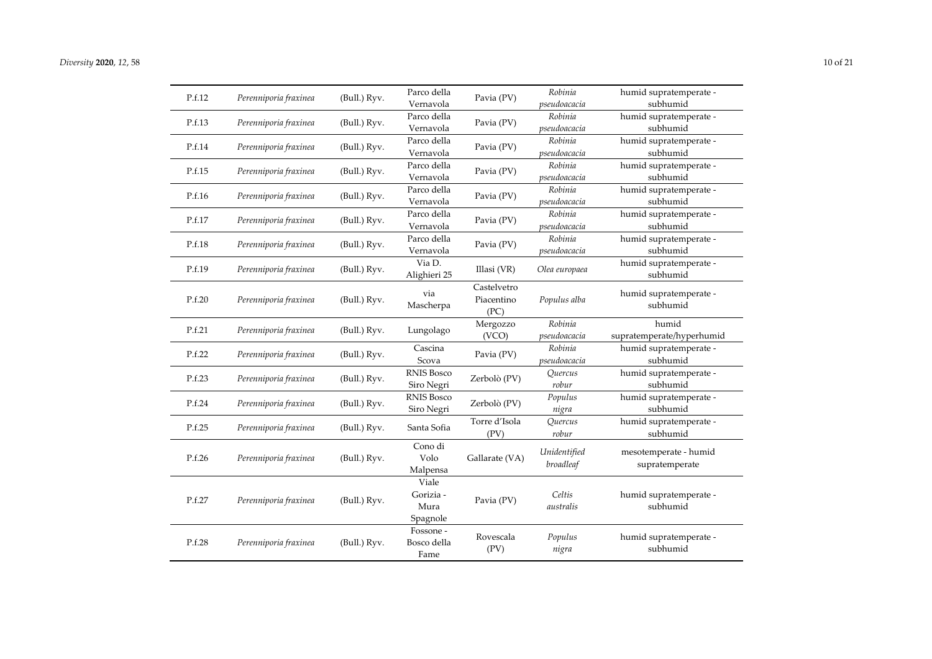| P.f.12 | Perenniporia fraxinea | (Bull.) Ryv. | Parco della<br>Vernavola               | Pavia (PV)                        | Robinia<br>pseudoacacia   | humid supratemperate -<br>subhumid      |
|--------|-----------------------|--------------|----------------------------------------|-----------------------------------|---------------------------|-----------------------------------------|
| P.f.13 | Perenniporia fraxinea | (Bull.) Ryv. | Parco della<br>Vernavola               | Pavia (PV)                        | Robinia<br>pseudoacacia   | humid supratemperate -<br>subhumid      |
| P.f.14 | Perenniporia fraxinea | (Bull.) Ryv. | Parco della<br>Vernavola               | Pavia (PV)                        | Robinia<br>pseudoacacia   | humid supratemperate -<br>subhumid      |
| P.f.15 | Perenniporia fraxinea | (Bull.) Ryv. | Parco della<br>Vernavola               | Pavia (PV)                        | Robinia<br>pseudoacacia   | humid supratemperate -<br>subhumid      |
| P.f.16 | Perenniporia fraxinea | (Bull.) Ryv. | Parco della<br>Vernavola               | Pavia (PV)                        | Robinia<br>pseudoacacia   | humid supratemperate -<br>subhumid      |
| P.f.17 | Perenniporia fraxinea | (Bull.) Ryv. | Parco della<br>Vernavola               | Pavia (PV)                        | Robinia<br>pseudoacacia   | humid supratemperate -<br>subhumid      |
| P.f.18 | Perenniporia fraxinea | (Bull.) Ryv. | Parco della<br>Vernavola               | Pavia (PV)                        | Robinia<br>pseudoacacia   | humid supratemperate -<br>subhumid      |
| P.f.19 | Perenniporia fraxinea | (Bull.) Ryv. | Via D.<br>Alighieri 25                 | Illasi (VR)                       | Olea europaea             | humid supratemperate -<br>subhumid      |
| P.f.20 | Perenniporia fraxinea | (Bull.) Ryv. | via<br>Mascherpa                       | Castelvetro<br>Piacentino<br>(PC) | Populus alba              | humid supratemperate -<br>subhumid      |
| P.f.21 | Perenniporia fraxinea | (Bull.) Ryv. | Lungolago                              | Mergozzo<br>(VCO)                 | Robinia<br>pseudoacacia   | humid<br>supratemperate/hyperhumid      |
| P.f.22 | Perenniporia fraxinea | (Bull.) Ryv. | Cascina<br>Scova                       | Pavia (PV)                        | Robinia<br>pseudoacacia   | humid supratemperate -<br>subhumid      |
| P.f.23 | Perenniporia fraxinea | (Bull.) Ryv. | <b>RNIS Bosco</b><br>Siro Negri        | Zerbolò (PV)                      | Quercus<br>robur          | humid supratemperate -<br>subhumid      |
| P.f.24 | Perenniporia fraxinea | (Bull.) Ryv. | <b>RNIS Bosco</b><br>Siro Negri        | Zerbolò (PV)                      | Populus<br>nigra          | humid supratemperate -<br>subhumid      |
| P.f.25 | Perenniporia fraxinea | (Bull.) Ryv. | Santa Sofia                            | Torre d'Isola<br>(PV)             | Quercus<br>robur          | humid supratemperate -<br>subhumid      |
| P.f.26 | Perenniporia fraxinea | (Bull.) Ryv. | Cono di<br>Volo<br>Malpensa            | Gallarate (VA)                    | Unidentified<br>broadleaf | mesotemperate - humid<br>supratemperate |
| P.f.27 | Perenniporia fraxinea | (Bull.) Ryv. | Viale<br>Gorizia -<br>Mura<br>Spagnole | Pavia (PV)                        | Celtis<br>australis       | humid supratemperate -<br>subhumid      |
| P.f.28 | Perenniporia fraxinea | (Bull.) Ryv. | Fossone -<br>Bosco della<br>Fame       | Rovescala<br>(PV)                 | Populus<br>nigra          | humid supratemperate -<br>subhumid      |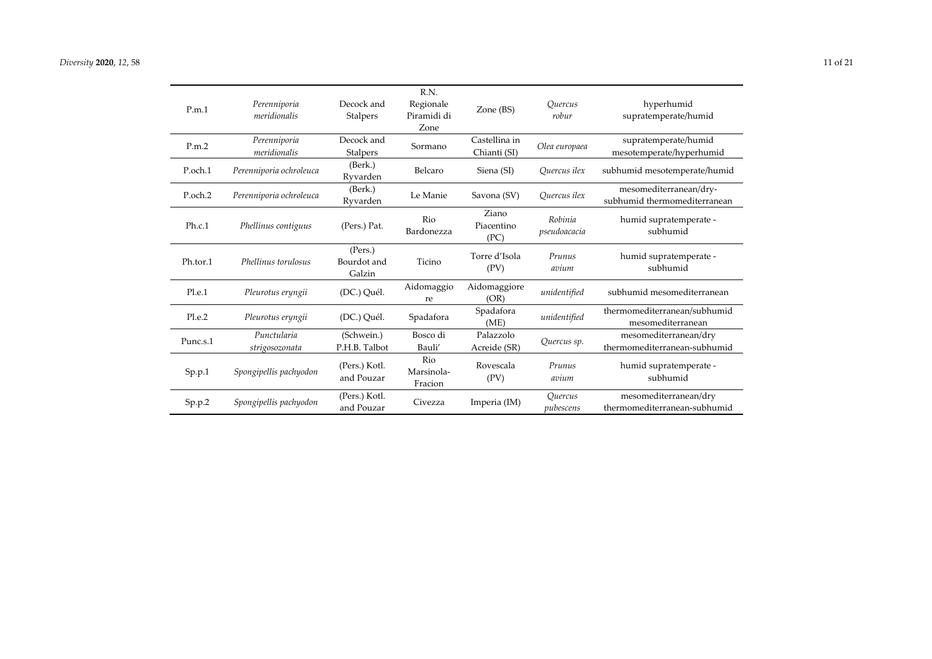| P.m.1    | Perenniporia<br>meridionalis  | Decock and<br>Stalpers           | R.N.<br>Regionale<br>Piramidi di<br>Zone | Zone (BS)                     | <i><u><b>Ouercus</b></u></i><br>robur     | hyperhumid<br>supratemperate/humid                     |
|----------|-------------------------------|----------------------------------|------------------------------------------|-------------------------------|-------------------------------------------|--------------------------------------------------------|
| P.m.2    | Perenniporia<br>meridionalis  | Decock and<br>Stalpers           | Sormano                                  | Castellina in<br>Chianti (SI) | Olea europaea                             | supratemperate/humid<br>mesotemperate/hyperhumid       |
| P.och.1  | Perenniporia ochroleuca       | (Berk.)<br>Ryvarden              | Belcaro                                  | Siena (SI)                    | Ouercus ilex                              | subhumid mesotemperate/humid                           |
| P.och.2  | Perenniporia ochroleuca       | (Berk.)<br>Ryvarden              | Le Manie                                 | Savona (SV)                   | Ouercus ilex                              | mesomediterranean/dry-<br>subhumid thermomediterranean |
| Ph.c.1   | Phellinus contiguus           | (Pers.) Pat.                     | Rio<br>Bardonezza                        | Ziano<br>Piacentino<br>(PC)   | Robinia<br>pseudoacacia                   | humid supratemperate -<br>subhumid                     |
| Ph.tor.1 | Phellinus torulosus           | (Pers.)<br>Bourdot and<br>Galzin | Ticino                                   | Torre d'Isola<br>(PV)         | Prunus<br>avium                           | humid supratemperate -<br>subhumid                     |
| Pl.e.1   | Pleurotus eryngii             | (DC.) Quél.                      | Aidomaggio<br>re                         | Aidomaggiore<br>(OR)          | unidentified                              | subhumid mesomediterranean                             |
| Pl.e.2   | Pleurotus eryngii             | (DC.) Quél.                      | Spadafora                                | Spadafora<br>(ME)             | unidentified                              | thermomediterranean/subhumid<br>mesomediterranean      |
| Punc.s.1 | Punctularia<br>strigosozonata | (Schwein.)<br>P.H.B. Talbot      | Bosco di<br>Bauli'                       | Palazzolo<br>Acreide (SR)     | Quercus sp.                               | mesomediterranean/dry<br>thermomediterranean-subhumid  |
| Sp.p.1   | Spongipellis pachyodon        | (Pers.) Kotl.<br>and Pouzar      | Rio<br>Marsinola-<br>Fracion             | Rovescala<br>(PV)             | Prunus<br>avium                           | humid supratemperate -<br>subhumid                     |
| Sp.p.2   | Spongipellis pachyodon        | (Pers.) Kotl.<br>and Pouzar      | Civezza                                  | Imperia (IM)                  | <i><u><b>Ouercus</b></u></i><br>pubescens | mesomediterranean/dry<br>thermomediterranean-subhumid  |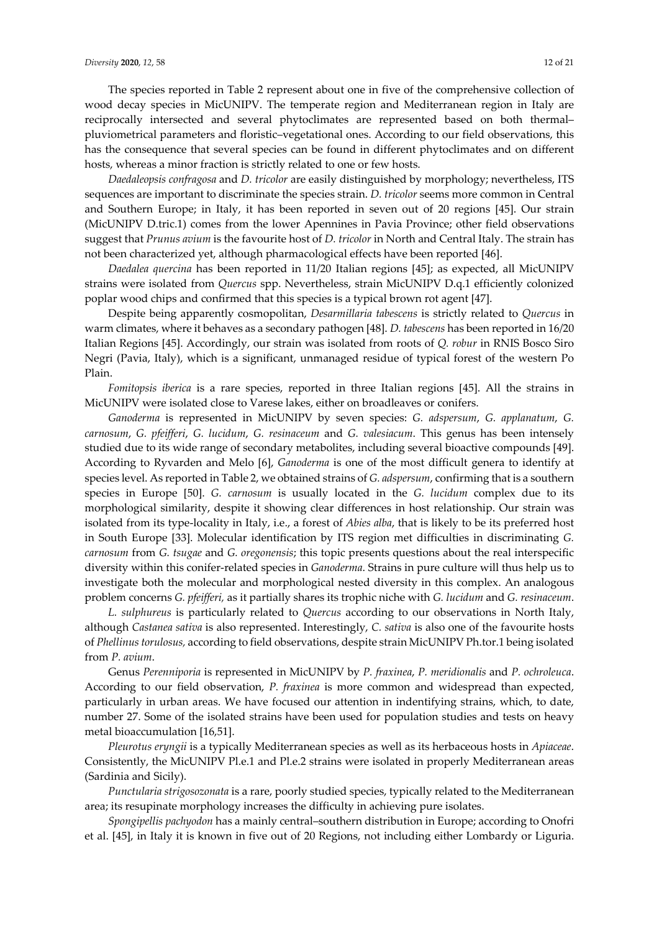The species reported in Table 2 represent about one in five of the comprehensive collection of wood decay species in MicUNIPV. The temperate region and Mediterranean region in Italy are reciprocally intersected and several phytoclimates are represented based on both thermal– pluviometrical parameters and floristic–vegetational ones. According to our field observations, this has the consequence that several species can be found in different phytoclimates and on different hosts, whereas a minor fraction is strictly related to one or few hosts.

*Daedaleopsis confragosa* and *D. tricolor* are easily distinguished by morphology; nevertheless, ITS sequences are important to discriminate the species strain. *D. tricolor* seems more common in Central and Southern Europe; in Italy, it has been reported in seven out of 20 regions [45]. Our strain (MicUNIPV D.tric.1) comes from the lower Apennines in Pavia Province; other field observations suggest that *Prunus avium* is the favourite host of *D. tricolor* in North and Central Italy. The strain has not been characterized yet, although pharmacological effects have been reported [46].

*Daedalea quercina* has been reported in 11/20 Italian regions [45]; as expected, all MicUNIPV strains were isolated from *Quercus* spp. Nevertheless, strain MicUNIPV D.q.1 efficiently colonized poplar wood chips and confirmed that this species is a typical brown rot agent [47].

Despite being apparently cosmopolitan, *Desarmillaria tabescens* is strictly related to *Quercus* in warm climates, where it behaves as a secondary pathogen [48]. *D. tabescens* has been reported in 16/20 Italian Regions [45]. Accordingly, our strain was isolated from roots of *Q. robur* in RNIS Bosco Siro Negri (Pavia, Italy), which is a significant, unmanaged residue of typical forest of the western Po Plain.

*Fomitopsis iberica* is a rare species, reported in three Italian regions [45]. All the strains in MicUNIPV were isolated close to Varese lakes, either on broadleaves or conifers.

*Ganoderma* is represented in MicUNIPV by seven species: *G. adspersum*, *G. applanatum*, *G. carnosum*, *G. pfeifferi*, *G. lucidum*, *G. resinaceum* and *G. valesiacum*. This genus has been intensely studied due to its wide range of secondary metabolites, including several bioactive compounds [49]. According to Ryvarden and Melo [6], *Ganoderma* is one of the most difficult genera to identify at species level. As reported in Table 2, we obtained strains of *G. adspersum*, confirming that is a southern species in Europe [50]. *G. carnosum* is usually located in the *G. lucidum* complex due to its morphological similarity, despite it showing clear differences in host relationship. Our strain was isolated from its type-locality in Italy, i.e., a forest of *Abies alba*, that is likely to be its preferred host in South Europe [33]. Molecular identification by ITS region met difficulties in discriminating *G. carnosum* from *G. tsugae* and *G. oregonensis*; this topic presents questions about the real interspecific diversity within this conifer-related species in *Ganoderma*. Strains in pure culture will thus help us to investigate both the molecular and morphological nested diversity in this complex. An analogous problem concerns *G. pfeifferi,* as it partially shares its trophic niche with *G. lucidum* and *G. resinaceum*.

*L. sulphureus* is particularly related to *Quercus* according to our observations in North Italy, although *Castanea sativa* is also represented. Interestingly, *C. sativa* is also one of the favourite hosts of *Phellinus torulosus,* according to field observations, despite strain MicUNIPV Ph.tor.1 being isolated from *P. avium*.

Genus *Perenniporia* is represented in MicUNIPV by *P. fraxinea*, *P. meridionalis* and *P. ochroleuca*. According to our field observation, *P. fraxinea* is more common and widespread than expected, particularly in urban areas. We have focused our attention in indentifying strains, which, to date, number 27. Some of the isolated strains have been used for population studies and tests on heavy metal bioaccumulation [16,51].

*Pleurotus eryngii* is a typically Mediterranean species as well as its herbaceous hosts in *Apiaceae*. Consistently, the MicUNIPV Pl.e.1 and Pl.e.2 strains were isolated in properly Mediterranean areas (Sardinia and Sicily).

*Punctularia strigosozonata* is a rare, poorly studied species, typically related to the Mediterranean area; its resupinate morphology increases the difficulty in achieving pure isolates.

*Spongipellis pachyodon* has a mainly central–southern distribution in Europe; according to Onofri et al. [45], in Italy it is known in five out of 20 Regions, not including either Lombardy or Liguria.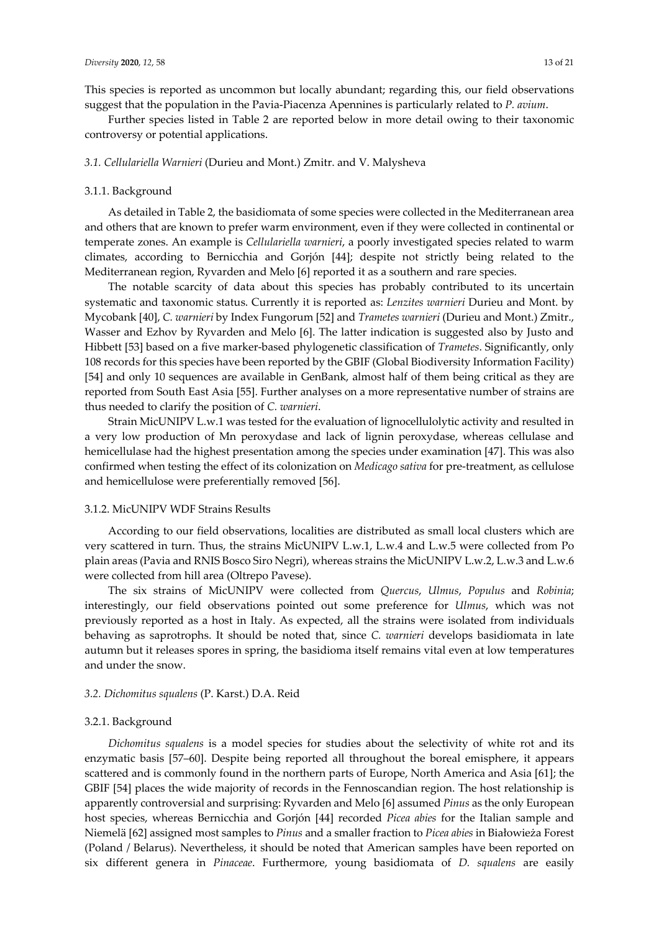This species is reported as uncommon but locally abundant; regarding this, our field observations suggest that the population in the Pavia-Piacenza Apennines is particularly related to *P. avium*.

Further species listed in Table 2 are reported below in more detail owing to their taxonomic controversy or potential applications.

#### *3.1. Cellulariella Warnieri* (Durieu and Mont.) Zmitr. and V. Malysheva

#### 3.1.1. Background

As detailed in Table 2, the basidiomata of some species were collected in the Mediterranean area and others that are known to prefer warm environment, even if they were collected in continental or temperate zones. An example is *Cellulariella warnieri*, a poorly investigated species related to warm climates, according to Bernicchia and Gorjón [44]; despite not strictly being related to the Mediterranean region, Ryvarden and Melo [6] reported it as a southern and rare species.

The notable scarcity of data about this species has probably contributed to its uncertain systematic and taxonomic status. Currently it is reported as: *Lenzites warnieri* Durieu and Mont. by Mycobank [40], *C. warnieri* by Index Fungorum [52] and *Trametes warnieri* (Durieu and Mont.) Zmitr., Wasser and Ezhov by Ryvarden and Melo [6]. The latter indication is suggested also by Justo and Hibbett [53] based on a five marker-based phylogenetic classification of *Trametes*. Significantly, only 108 records for this species have been reported by the GBIF (Global Biodiversity Information Facility) [54] and only 10 sequences are available in GenBank, almost half of them being critical as they are reported from South East Asia [55]. Further analyses on a more representative number of strains are thus needed to clarify the position of *C. warnieri*.

Strain MicUNIPV L.w.1 was tested for the evaluation of lignocellulolytic activity and resulted in a very low production of Mn peroxydase and lack of lignin peroxydase, whereas cellulase and hemicellulase had the highest presentation among the species under examination [47]. This was also confirmed when testing the effect of its colonization on *Medicago sativa* for pre-treatment, as cellulose and hemicellulose were preferentially removed [56].

#### 3.1.2. MicUNIPV WDF Strains Results

According to our field observations, localities are distributed as small local clusters which are very scattered in turn. Thus, the strains MicUNIPV L.w.1, L.w.4 and L.w.5 were collected from Po plain areas (Pavia and RNIS Bosco Siro Negri), whereas strains the MicUNIPV L.w.2, L.w.3 and L.w.6 were collected from hill area (Oltrepo Pavese).

The six strains of MicUNIPV were collected from *Quercus*, *Ulmus*, *Populus* and *Robinia*; interestingly, our field observations pointed out some preference for *Ulmus*, which was not previously reported as a host in Italy. As expected, all the strains were isolated from individuals behaving as saprotrophs. It should be noted that, since *C. warnieri* develops basidiomata in late autumn but it releases spores in spring, the basidioma itself remains vital even at low temperatures and under the snow.

#### *3.2. Dichomitus squalens* (P. Karst.) D.A. Reid

#### 3.2.1. Background

*Dichomitus squalens* is a model species for studies about the selectivity of white rot and its enzymatic basis [57–60]. Despite being reported all throughout the boreal emisphere, it appears scattered and is commonly found in the northern parts of Europe, North America and Asia [61]; the GBIF [54] places the wide majority of records in the Fennoscandian region. The host relationship is apparently controversial and surprising: Ryvarden and Melo [6] assumed *Pinus* as the only European host species, whereas Bernicchia and Gorjón [44] recorded *Picea abies* for the Italian sample and Niemelä [62] assigned most samples to *Pinus* and a smaller fraction to *Picea abies* in Białowieża Forest (Poland / Belarus). Nevertheless, it should be noted that American samples have been reported on six different genera in *Pinaceae*. Furthermore, young basidiomata of *D. squalens* are easily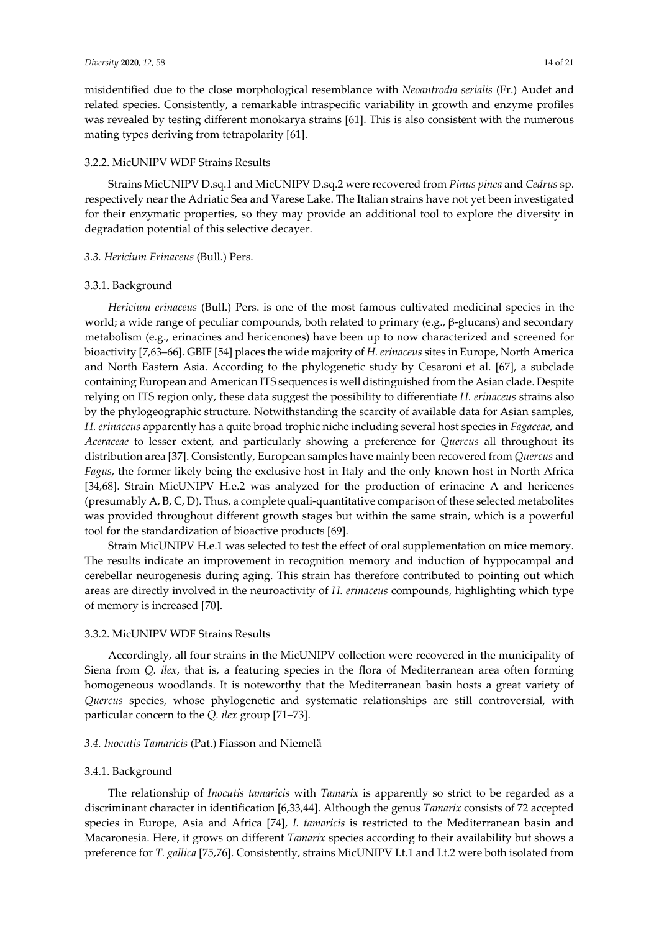misidentified due to the close morphological resemblance with *Neoantrodia serialis* (Fr.) Audet and related species. Consistently, a remarkable intraspecific variability in growth and enzyme profiles was revealed by testing different monokarya strains [61]. This is also consistent with the numerous mating types deriving from tetrapolarity [61].

## 3.2.2. MicUNIPV WDF Strains Results

Strains MicUNIPV D.sq.1 and MicUNIPV D.sq.2 were recovered from *Pinus pinea* and *Cedrus* sp. respectively near the Adriatic Sea and Varese Lake. The Italian strains have not yet been investigated for their enzymatic properties, so they may provide an additional tool to explore the diversity in degradation potential of this selective decayer.

#### *3.3. Hericium Erinaceus* (Bull.) Pers.

#### 3.3.1. Background

*Hericium erinaceus* (Bull.) Pers. is one of the most famous cultivated medicinal species in the world; a wide range of peculiar compounds, both related to primary (e.g., β-glucans) and secondary metabolism (e.g., erinacines and hericenones) have been up to now characterized and screened for bioactivity [7,63–66]. GBIF [54] places the wide majority of *H. erinaceus* sites in Europe, North America and North Eastern Asia. According to the phylogenetic study by Cesaroni et al. [67], a subclade containing European and American ITS sequences is well distinguished from the Asian clade. Despite relying on ITS region only, these data suggest the possibility to differentiate *H. erinaceus* strains also by the phylogeographic structure. Notwithstanding the scarcity of available data for Asian samples, *H. erinaceus* apparently has a quite broad trophic niche including several host species in *Fagaceae,* and *Aceraceae* to lesser extent, and particularly showing a preference for *Quercus* all throughout its distribution area [37]. Consistently, European samples have mainly been recovered from *Quercus* and *Fagus*, the former likely being the exclusive host in Italy and the only known host in North Africa [34,68]. Strain MicUNIPV H.e.2 was analyzed for the production of erinacine A and hericenes (presumably A, B, C, D). Thus, a complete quali-quantitative comparison of these selected metabolites was provided throughout different growth stages but within the same strain, which is a powerful tool for the standardization of bioactive products [69].

Strain MicUNIPV H.e.1 was selected to test the effect of oral supplementation on mice memory. The results indicate an improvement in recognition memory and induction of hyppocampal and cerebellar neurogenesis during aging. This strain has therefore contributed to pointing out which areas are directly involved in the neuroactivity of *H. erinaceus* compounds, highlighting which type of memory is increased [70].

#### 3.3.2. MicUNIPV WDF Strains Results

Accordingly, all four strains in the MicUNIPV collection were recovered in the municipality of Siena from *Q. ilex*, that is, a featuring species in the flora of Mediterranean area often forming homogeneous woodlands. It is noteworthy that the Mediterranean basin hosts a great variety of *Quercus* species, whose phylogenetic and systematic relationships are still controversial, with particular concern to the *Q. ilex* group [71–73].

#### *3.4. Inocutis Tamaricis* (Pat.) Fiasson and Niemelä

#### 3.4.1. Background

The relationship of *Inocutis tamaricis* with *Tamarix* is apparently so strict to be regarded as a discriminant character in identification [6,33,44]. Although the genus *Tamarix* consists of 72 accepted species in Europe, Asia and Africa [74], *I. tamaricis* is restricted to the Mediterranean basin and Macaronesia. Here, it grows on different *Tamarix* species according to their availability but shows a preference for *T. gallica* [75,76]. Consistently, strains MicUNIPV I.t.1 and I.t.2 were both isolated from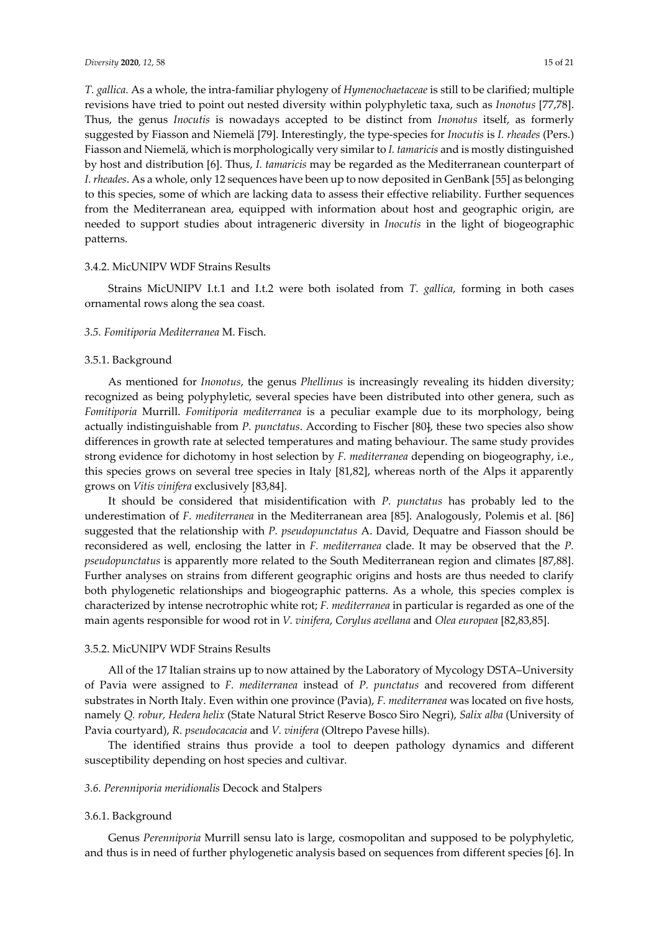*T. gallica.* As a whole, the intra-familiar phylogeny of *Hymenochaetaceae* is still to be clarified; multiple revisions have tried to point out nested diversity within polyphyletic taxa, such as *Inonotus* [77,78]. Thus, the genus *Inocutis* is nowadays accepted to be distinct from *Inonotus* itself, as formerly suggested by Fiasson and Niemelä [79]. Interestingly, the type-species for *Inocutis* is *I. rheades* (Pers.) Fiasson and Niemelä, which is morphologically very similar to *I. tamaricis* and is mostly distinguished by host and distribution [6]. Thus, *I. tamaricis* may be regarded as the Mediterranean counterpart of *I. rheades*. As a whole, only 12 sequences have been up to now deposited in GenBank [55] as belonging to this species, some of which are lacking data to assess their effective reliability. Further sequences from the Mediterranean area, equipped with information about host and geographic origin, are needed to support studies about intrageneric diversity in *Inocutis* in the light of biogeographic patterns.

## 3.4.2. MicUNIPV WDF Strains Results

Strains MicUNIPV I.t.1 and I.t.2 were both isolated from *T. gallica*, forming in both cases ornamental rows along the sea coast.

## *3.5. Fomitiporia Mediterranea* M. Fisch.

## 3.5.1. Background

As mentioned for *Inonotus*, the genus *Phellinus* is increasingly revealing its hidden diversity; recognized as being polyphyletic, several species have been distributed into other genera, such as *Fomitiporia* Murrill. *Fomitiporia mediterranea* is a peculiar example due to its morphology, being actually indistinguishable from *P. punctatus*. According to Fischer [80], these two species also show differences in growth rate at selected temperatures and mating behaviour. The same study provides strong evidence for dichotomy in host selection by *F. mediterranea* depending on biogeography, i.e., this species grows on several tree species in Italy [81,82], whereas north of the Alps it apparently grows on *Vitis vinifera* exclusively [83,84].

It should be considered that misidentification with *P. punctatus* has probably led to the underestimation of *F. mediterranea* in the Mediterranean area [85]. Analogously, Polemis et al. [86] suggested that the relationship with *P. pseudopunctatus* A. David, Dequatre and Fiasson should be reconsidered as well, enclosing the latter in *F. mediterranea* clade. It may be observed that the *P. pseudopunctatus* is apparently more related to the South Mediterranean region and climates [87,88]. Further analyses on strains from different geographic origins and hosts are thus needed to clarify both phylogenetic relationships and biogeographic patterns. As a whole, this species complex is characterized by intense necrotrophic white rot; *F. mediterranea* in particular is regarded as one of the main agents responsible for wood rot in *V. vinifera*, *Corylus avellana* and *Olea europaea* [82,83,85].

#### 3.5.2. MicUNIPV WDF Strains Results

All of the 17 Italian strains up to now attained by the Laboratory of Mycology DSTA–University of Pavia were assigned to *F. mediterranea* instead of *P. punctatus* and recovered from different substrates in North Italy. Even within one province (Pavia), *F. mediterranea* was located on five hosts, namely *Q. robur, Hedera helix* (State Natural Strict Reserve Bosco Siro Negri), *Salix alba* (University of Pavia courtyard), *R. pseudocacacia* and *V. vinifera* (Oltrepo Pavese hills).

The identified strains thus provide a tool to deepen pathology dynamics and different susceptibility depending on host species and cultivar.

#### *3.6. Perenniporia meridionalis* Decock and Stalpers

## 3.6.1. Background

Genus *Perenniporia* Murrill sensu lato is large, cosmopolitan and supposed to be polyphyletic, and thus is in need of further phylogenetic analysis based on sequences from different species [6]. In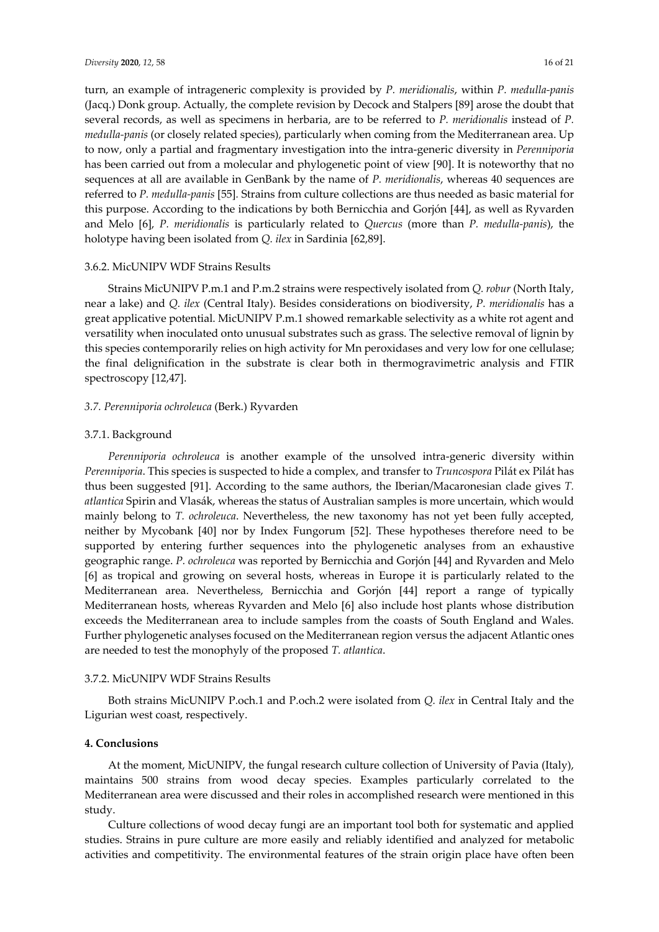turn, an example of intrageneric complexity is provided by *P. meridionalis*, within *P. medulla-panis*  (Jacq.) Donk group. Actually, the complete revision by Decock and Stalpers [89] arose the doubt that several records, as well as specimens in herbaria, are to be referred to *P. meridionalis* instead of *P. medulla-panis* (or closely related species), particularly when coming from the Mediterranean area. Up to now, only a partial and fragmentary investigation into the intra-generic diversity in *Perenniporia* has been carried out from a molecular and phylogenetic point of view [90]. It is noteworthy that no sequences at all are available in GenBank by the name of *P. meridionalis*, whereas 40 sequences are referred to *P. medulla-panis* [55]*.* Strains from culture collections are thus needed as basic material for this purpose. According to the indications by both Bernicchia and Gorjón [44], as well as Ryvarden and Melo [6], *P. meridionalis* is particularly related to *Quercus* (more than *P. medulla-panis*), the holotype having been isolated from *Q. ilex* in Sardinia [62,89].

#### 3.6.2. MicUNIPV WDF Strains Results

Strains MicUNIPV P.m.1 and P.m.2 strains were respectively isolated from *Q. robur* (North Italy, near a lake) and *Q. ilex* (Central Italy). Besides considerations on biodiversity, *P. meridionalis* has a great applicative potential. MicUNIPV P.m.1 showed remarkable selectivity as a white rot agent and versatility when inoculated onto unusual substrates such as grass. The selective removal of lignin by this species contemporarily relies on high activity for Mn peroxidases and very low for one cellulase; the final delignification in the substrate is clear both in thermogravimetric analysis and FTIR spectroscopy [12,47].

#### *3.7. Perenniporia ochroleuca* (Berk.) Ryvarden

#### 3.7.1. Background

*Perenniporia ochroleuca* is another example of the unsolved intra-generic diversity within *Perenniporia*. This species is suspected to hide a complex, and transfer to *Truncospora* Pilát ex Pilát has thus been suggested [91]. According to the same authors, the Iberian/Macaronesian clade gives *T. atlantica* Spirin and Vlasák, whereas the status of Australian samples is more uncertain, which would mainly belong to *T. ochroleuca*. Nevertheless, the new taxonomy has not yet been fully accepted, neither by Mycobank [40] nor by Index Fungorum [52]. These hypotheses therefore need to be supported by entering further sequences into the phylogenetic analyses from an exhaustive geographic range. *P. ochroleuca* was reported by Bernicchia and Gorjón [44] and Ryvarden and Melo [6] as tropical and growing on several hosts, whereas in Europe it is particularly related to the Mediterranean area. Nevertheless, Bernicchia and Gorjón [44] report a range of typically Mediterranean hosts, whereas Ryvarden and Melo [6] also include host plants whose distribution exceeds the Mediterranean area to include samples from the coasts of South England and Wales. Further phylogenetic analyses focused on the Mediterranean region versus the adjacent Atlantic ones are needed to test the monophyly of the proposed *T. atlantica*.

### 3.7.2. MicUNIPV WDF Strains Results

Both strains MicUNIPV P.och.1 and P.och.2 were isolated from *Q. ilex* in Central Italy and the Ligurian west coast, respectively.

#### **4. Conclusions**

At the moment, MicUNIPV, the fungal research culture collection of University of Pavia (Italy), maintains 500 strains from wood decay species. Examples particularly correlated to the Mediterranean area were discussed and their roles in accomplished research were mentioned in this study.

Culture collections of wood decay fungi are an important tool both for systematic and applied studies. Strains in pure culture are more easily and reliably identified and analyzed for metabolic activities and competitivity. The environmental features of the strain origin place have often been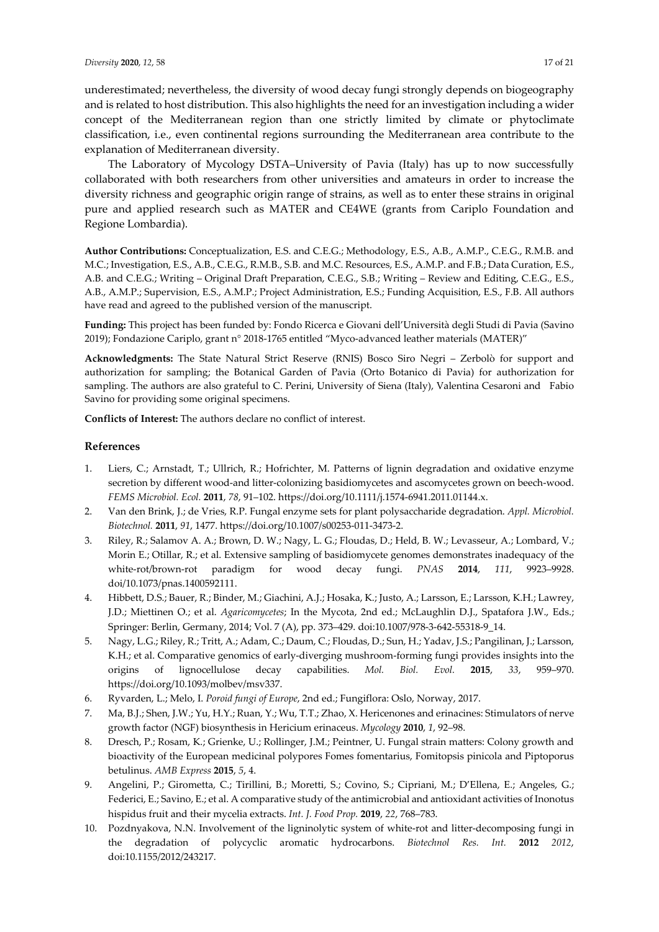underestimated; nevertheless, the diversity of wood decay fungi strongly depends on biogeography and is related to host distribution. This also highlights the need for an investigation including a wider concept of the Mediterranean region than one strictly limited by climate or phytoclimate classification, i.e., even continental regions surrounding the Mediterranean area contribute to the explanation of Mediterranean diversity.

The Laboratory of Mycology DSTA–University of Pavia (Italy) has up to now successfully collaborated with both researchers from other universities and amateurs in order to increase the diversity richness and geographic origin range of strains, as well as to enter these strains in original pure and applied research such as MATER and CE4WE (grants from Cariplo Foundation and Regione Lombardia).

**Author Contributions:** Conceptualization, E.S. and C.E.G.; Methodology, E.S., A.B., A.M.P., C.E.G., R.M.B. and M.C.; Investigation, E.S., A.B., C.E.G., R.M.B., S.B. and M.C. Resources, E.S., A.M.P. and F.B.; Data Curation, E.S., A.B. and C.E.G.; Writing – Original Draft Preparation, C.E.G., S.B.; Writing – Review and Editing, C.E.G., E.S., A.B., A.M.P.; Supervision, E.S., A.M.P.; Project Administration, E.S.; Funding Acquisition, E.S., F.B. All authors have read and agreed to the published version of the manuscript.

**Funding:** This project has been funded by: Fondo Ricerca e Giovani dell'Università degli Studi di Pavia (Savino 2019); Fondazione Cariplo, grant n° 2018-1765 entitled "Myco-advanced leather materials (MATER)"

**Acknowledgments:** The State Natural Strict Reserve (RNIS) Bosco Siro Negri – Zerbolò for support and authorization for sampling; the Botanical Garden of Pavia (Orto Botanico di Pavia) for authorization for sampling. The authors are also grateful to C. Perini, University of Siena (Italy), Valentina Cesaroni and Fabio Savino for providing some original specimens.

**Conflicts of Interest:** The authors declare no conflict of interest.

## **References**

- 1. Liers, C.; Arnstadt, T.; Ullrich, R.; Hofrichter, M. Patterns of lignin degradation and oxidative enzyme secretion by different wood-and litter-colonizing basidiomycetes and ascomycetes grown on beech-wood. *FEMS Microbiol. Ecol.* **2011**, *78*, 91–102. https://doi.org/10.1111/j.1574-6941.2011.01144.x.
- 2. Van den Brink, J.; de Vries, R.P. Fungal enzyme sets for plant polysaccharide degradation. *Appl. Microbiol. Biotechnol.* **2011**, *91*, 1477. https://doi.org/10.1007/s00253-011-3473-2.
- 3. Riley, R.; Salamov A. A.; Brown, D. W.; Nagy, L. G.; Floudas, D.; Held, B. W.; Levasseur, A.; Lombard, V.; Morin E.; Otillar, R.; et al. Extensive sampling of basidiomycete genomes demonstrates inadequacy of the white-rot/brown-rot paradigm for wood decay fungi. *PNAS* **2014**, *111*, 9923–9928. doi/10.1073/pnas.1400592111.
- 4. Hibbett, D.S.; Bauer, R.; Binder, M.; Giachini, A.J.; Hosaka, K.; Justo, A.; Larsson, E.; Larsson, K.H.; Lawrey, J.D.; Miettinen O.; et al. *Agaricomycetes*; In the Mycota, 2nd ed.; McLaughlin D.J., Spatafora J.W., Eds.; Springer: Berlin, Germany, 2014; Vol. 7 (A), pp. 373–429. doi:10.1007/978-3-642-55318-9\_14.
- 5. Nagy, L.G.; Riley, R.; Tritt, A.; Adam, C.; Daum, C.; Floudas, D.; Sun, H.; Yadav, J.S.; Pangilinan, J.; Larsson, K.H.; et al. Comparative genomics of early-diverging mushroom-forming fungi provides insights into the origins of lignocellulose decay capabilities. *Mol. Biol. Evol.* **2015**, *33*, 959–970. https://doi.org/10.1093/molbev/msv337.
- 6. Ryvarden, L.; Melo, I. *Poroid fungi of Europe*, 2nd ed.; Fungiflora: Oslo, Norway, 2017.
- 7. Ma, B.J.; Shen, J.W.; Yu, H.Y.; Ruan, Y.; Wu, T.T.; Zhao, X. Hericenones and erinacines: Stimulators of nerve growth factor (NGF) biosynthesis in Hericium erinaceus. *Mycology* **2010**, *1*, 92–98.
- 8. Dresch, P.; Rosam, K.; Grienke, U.; Rollinger, J.M.; Peintner, U. Fungal strain matters: Colony growth and bioactivity of the European medicinal polypores Fomes fomentarius, Fomitopsis pinicola and Piptoporus betulinus. *AMB Express* **2015**, *5*, 4.
- 9. Angelini, P.; Girometta, C.; Tirillini, B.; Moretti, S.; Covino, S.; Cipriani, M.; D'Ellena, E.; Angeles, G.; Federici, E.; Savino, E.; et al. A comparative study of the antimicrobial and antioxidant activities of Inonotus hispidus fruit and their mycelia extracts. *Int. J. Food Prop.* **2019**, *22*, 768–783.
- 10. Pozdnyakova, N.N. Involvement of the ligninolytic system of white-rot and litter-decomposing fungi in the degradation of polycyclic aromatic hydrocarbons. *Biotechnol Res. Int.* **2012** *2012*, doi:10.1155/2012/243217.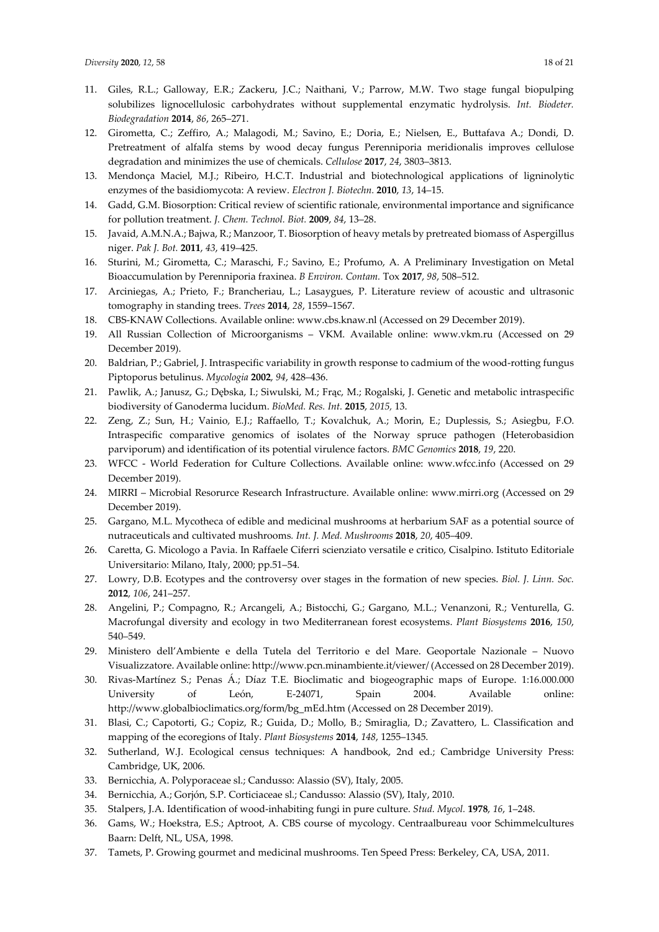- 11. Giles, R.L.; Galloway, E.R.; Zackeru, J.C.; Naithani, V.; Parrow, M.W. Two stage fungal biopulping solubilizes lignocellulosic carbohydrates without supplemental enzymatic hydrolysis. *Int. Biodeter. Biodegradation* **2014**, *86*, 265–271.
- 12. Girometta, C.; Zeffiro, A.; Malagodi, M.; Savino, E.; Doria, E.; Nielsen, E., Buttafava A.; Dondi, D. Pretreatment of alfalfa stems by wood decay fungus Perenniporia meridionalis improves cellulose degradation and minimizes the use of chemicals. *Cellulose* **2017**, *24*, 3803–3813.
- 13. Mendonça Maciel, M.J.; Ribeiro, H.C.T. Industrial and biotechnological applications of ligninolytic enzymes of the basidiomycota: A review. *Electron J. Biotechn.* **2010**, *13*, 14–15.
- 14. Gadd, G.M. Biosorption: Critical review of scientific rationale, environmental importance and significance for pollution treatment. *J. Chem. Technol. Biot.* **2009**, *84*, 13–28.
- 15. Javaid, A.M.N.A.; Bajwa, R.; Manzoor, T. Biosorption of heavy metals by pretreated biomass of Aspergillus niger. *Pak J. Bot.* **2011**, *43*, 419–425.
- 16. Sturini, M.; Girometta, C.; Maraschi, F.; Savino, E.; Profumo, A. A Preliminary Investigation on Metal Bioaccumulation by Perenniporia fraxinea. *B Environ. Contam.* Tox **2017**, *98*, 508–512.
- 17. Arciniegas, A.; Prieto, F.; Brancheriau, L.; Lasaygues, P. Literature review of acoustic and ultrasonic tomography in standing trees. *Trees* **2014**, *28*, 1559–1567.
- 18. CBS-KNAW Collections. Available online: www.cbs.knaw.nl (Accessed on 29 December 2019).
- 19. All Russian Collection of Microorganisms VKM. Available online: www.vkm.ru (Accessed on 29 December 2019).
- 20. Baldrian, P.; Gabriel, J. Intraspecific variability in growth response to cadmium of the wood-rotting fungus Piptoporus betulinus. *Mycologia* **2002**, *94*, 428–436.
- 21. Pawlik, A.; Janusz, G.; Dębska, I.; Siwulski, M.; Frąc, M.; Rogalski, J. Genetic and metabolic intraspecific biodiversity of Ganoderma lucidum. *BioMed. Res. Int.* **2015**, *2015,* 13.
- 22. Zeng, Z.; Sun, H.; Vainio, E.J.; Raffaello, T.; Kovalchuk, A.; Morin, E.; Duplessis, S.; Asiegbu, F.O. Intraspecific comparative genomics of isolates of the Norway spruce pathogen (Heterobasidion parviporum) and identification of its potential virulence factors. *BMC Genomics* **2018**, *19*, 220.
- 23. WFCC World Federation for Culture Collections. Available online: www.wfcc.info (Accessed on 29 December 2019).
- 24. MIRRI Microbial Resorurce Research Infrastructure. Available online: www.mirri.org (Accessed on 29 December 2019).
- 25. Gargano, M.L. Mycotheca of edible and medicinal mushrooms at herbarium SAF as a potential source of nutraceuticals and cultivated mushrooms*. Int. J. Med. Mushrooms* **2018**, *20*, 405–409.
- 26. Caretta, G. Micologo a Pavia. In Raffaele Ciferri scienziato versatile e critico, Cisalpino. Istituto Editoriale Universitario: Milano, Italy, 2000; pp.51–54.
- 27. Lowry, D.B. Ecotypes and the controversy over stages in the formation of new species. *Biol. J. Linn. Soc.* **2012**, *106*, 241–257.
- 28. Angelini, P.; Compagno, R.; Arcangeli, A.; Bistocchi, G.; Gargano, M.L.; Venanzoni, R.; Venturella, G. Macrofungal diversity and ecology in two Mediterranean forest ecosystems. *Plant Biosystems* **2016**, *150*, 540–549.
- 29. Ministero dell'Ambiente e della Tutela del Territorio e del Mare. Geoportale Nazionale Nuovo Visualizzatore. Available online: http://www.pcn.minambiente.it/viewer/ (Accessed on 28 December 2019).
- 30. Rivas-Martínez S.; Penas Á.; Díaz T.E. Bioclimatic and biogeographic maps of Europe. 1:16.000.000 University of León, E-24071, Spain 2004. Available online: http://www.globalbioclimatics.org/form/bg\_mEd.htm (Accessed on 28 December 2019).
- 31. Blasi, C.; Capotorti, G.; Copiz, R.; Guida, D.; Mollo, B.; Smiraglia, D.; Zavattero, L. Classification and mapping of the ecoregions of Italy. *Plant Biosystems* **2014**, *148*, 1255–1345.
- 32. Sutherland, W.J. Ecological census techniques: A handbook, 2nd ed.; Cambridge University Press: Cambridge, UK, 2006.
- 33. Bernicchia, A. Polyporaceae sl.; Candusso: Alassio (SV), Italy, 2005.
- 34. Bernicchia, A.; Gorjón, S.P. Corticiaceae sl.; Candusso: Alassio (SV), Italy, 2010.
- 35. Stalpers, J.A. Identification of wood-inhabiting fungi in pure culture. *Stud. Mycol.* **1978**, *16*, 1–248.
- 36. Gams, W.; Hoekstra, E.S.; Aptroot, A. CBS course of mycology. Centraalbureau voor Schimmelcultures Baarn: Delft, NL, USA, 1998.
- 37. Tamets, P. Growing gourmet and medicinal mushrooms. Ten Speed Press: Berkeley, CA, USA, 2011.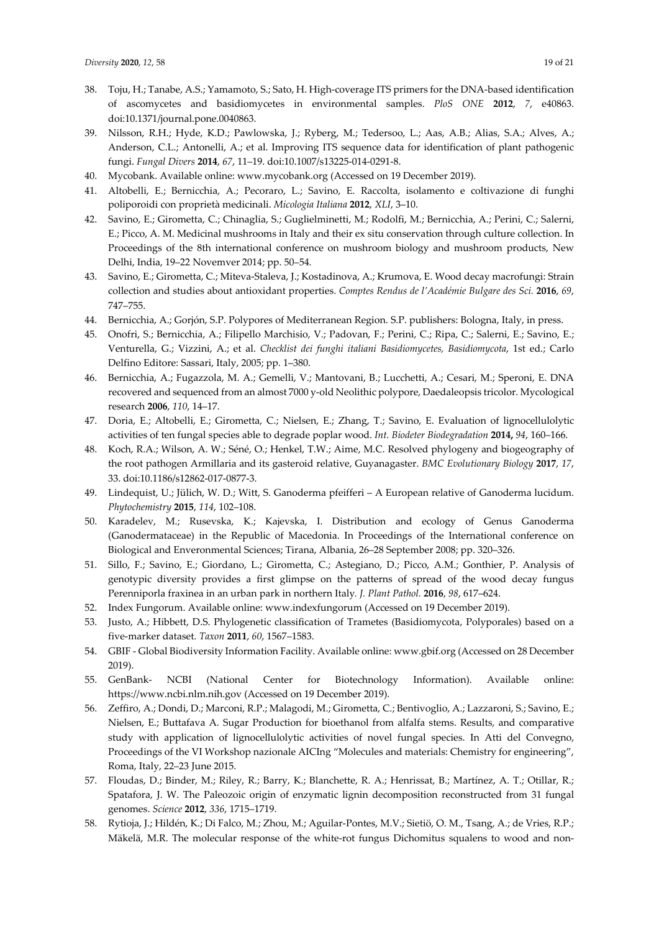- 38. Toju, H.; Tanabe, A.S.; Yamamoto, S.; Sato, H. High-coverage ITS primers for the DNA-based identification of ascomycetes and basidiomycetes in environmental samples. *PloS ONE* **2012**, *7*, e40863. doi:10.1371/journal.pone.0040863.
- 39. Nilsson, R.H.; Hyde, K.D.; Pawlowska, J.; Ryberg, M.; Tedersoo, L.; Aas, A.B.; Alias, S.A.; Alves, A.; Anderson, C.L.; Antonelli, A.; et al. Improving ITS sequence data for identification of plant pathogenic fungi. *Fungal Divers* **2014**, *67*, 11–19. doi:10.1007/s13225-014-0291-8.
- 40. Mycobank. Available online: www.mycobank.org (Accessed on 19 December 2019).
- 41. Altobelli, E.; Bernicchia, A.; Pecoraro, L.; Savino, E. Raccolta, isolamento e coltivazione di funghi poliporoidi con proprietà medicinali. *Micologia Italiana* **2012**, *XLI*, 3–10.
- 42. Savino, E.; Girometta, C.; Chinaglia, S.; Guglielminetti, M.; Rodolfi, M.; Bernicchia, A.; Perini, C.; Salerni, E.; Picco, A. M. Medicinal mushrooms in Italy and their ex situ conservation through culture collection. In Proceedings of the 8th international conference on mushroom biology and mushroom products, New Delhi, India, 19–22 Novemver 2014; pp. 50–54.
- 43. Savino, E.; Girometta, C.; Miteva-Staleva, J.; Kostadinova, A.; Krumova, E. Wood decay macrofungi: Strain collection and studies about antioxidant properties. *Comptes Rendus de l'Académie Bulgare des Sci.* **2016**, *69*, 747–755.
- 44. Bernicchia, A.; Gorjón, S.P. Polypores of Mediterranean Region. S.P. publishers: Bologna, Italy, in press.
- 45. Onofri, S.; Bernicchia, A.; Filipello Marchisio, V.; Padovan, F.; Perini, C.; Ripa, C.; Salerni, E.; Savino, E.; Venturella, G.; Vizzini, A.; et al. *Checklist dei funghi italiani Basidiomycetes, Basidiomycota*, 1st ed.; Carlo Delfino Editore: Sassari, Italy, 2005; pp. 1–380.
- 46. Bernicchia, A.; Fugazzola, M. A.; Gemelli, V.; Mantovani, B.; Lucchetti, A.; Cesari, M.; Speroni, E. DNA recovered and sequenced from an almost 7000 y-old Neolithic polypore, Daedaleopsis tricolor. Mycological research **2006**, *110*, 14–17.
- 47. Doria, E.; Altobelli, E.; Girometta, C.; Nielsen, E.; Zhang, T.; Savino, E. Evaluation of lignocellulolytic activities of ten fungal species able to degrade poplar wood. *Int. Biodeter Biodegradation* **2014,** *94*, 160–166.
- 48. Koch, R.A.; Wilson, A. W.; Séné, O.; Henkel, T.W.; Aime, M.C. Resolved phylogeny and biogeography of the root pathogen Armillaria and its gasteroid relative, Guyanagaster. *BMC Evolutionary Biology* **2017**, *17*, 33. doi:10.1186/s12862-017-0877-3.
- 49. Lindequist, U.; Jülich, W. D.; Witt, S. Ganoderma pfeifferi A European relative of Ganoderma lucidum. *Phytochemistry* **2015**, *114*, 102–108.
- 50. Karadelev, M.; Rusevska, K.; Kajevska, I. Distribution and ecology of Genus Ganoderma (Ganodermataceae) in the Republic of Macedonia. In Proceedings of the International conference on Biological and Enveronmental Sciences; Tirana, Albania, 26–28 September 2008; pp. 320–326.
- 51. Sillo, F.; Savino, E.; Giordano, L.; Girometta, C.; Astegiano, D.; Picco, A.M.; Gonthier, P. Analysis of genotypic diversity provides a first glimpse on the patterns of spread of the wood decay fungus Perenniporla fraxinea in an urban park in northern Italy*. J. Plant Pathol.* **2016**, *98*, 617–624.
- 52. Index Fungorum. Available online: www.indexfungorum (Accessed on 19 December 2019).
- 53. Justo, A.; Hibbett, D.S. Phylogenetic classification of Trametes (Basidiomycota, Polyporales) based on a five-marker dataset. *Taxon* **2011**, *60*, 1567–1583.
- 54. GBIF Global Biodiversity Information Facility. Available online: www.gbif.org (Accessed on 28 December 2019).
- 55. GenBank- NCBI (National Center for Biotechnology Information). Available online: https://www.ncbi.nlm.nih.gov (Accessed on 19 December 2019).
- 56. Zeffiro, A.; Dondi, D.; Marconi, R.P.; Malagodi, M.; Girometta, C.; Bentivoglio, A.; Lazzaroni, S.; Savino, E.; Nielsen, E.; Buttafava A. Sugar Production for bioethanol from alfalfa stems. Results, and comparative study with application of lignocellulolytic activities of novel fungal species. In Atti del Convegno, Proceedings of the VI Workshop nazionale AICIng "Molecules and materials: Chemistry for engineering", Roma, Italy, 22–23 June 2015.
- 57. Floudas, D.; Binder, M.; Riley, R.; Barry, K.; Blanchette, R. A.; Henrissat, B.; Martínez, A. T.; Otillar, R.; Spatafora, J. W. The Paleozoic origin of enzymatic lignin decomposition reconstructed from 31 fungal genomes. *Science* **2012**, *336*, 1715–1719.
- 58. Rytioja, J.; Hildén, K.; Di Falco, M.; Zhou, M.; Aguilar-Pontes, M.V.; Sietiö, O. M., Tsang, A.; de Vries, R.P.; Mäkelä, M.R. The molecular response of the white-rot fungus Dichomitus squalens to wood and non-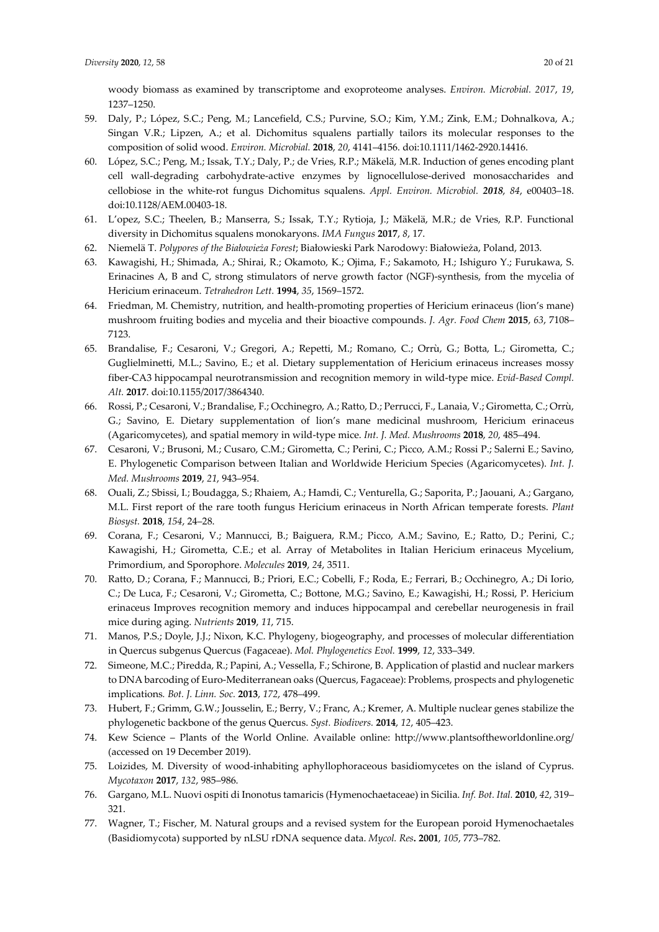woody biomass as examined by transcriptome and exoproteome analyses. *Environ. Microbial. 2017*, *19*, 1237–1250.

- 59. Daly, P.; López, S.C.; Peng, M.; Lancefield, C.S.; Purvine, S.O.; Kim, Y.M.; Zink, E.M.; Dohnalkova, A.; Singan V.R.; Lipzen, A.; et al. Dichomitus squalens partially tailors its molecular responses to the composition of solid wood. *Environ. Microbial.* **2018**, *20*, 4141–4156. doi:10.1111/1462-2920.14416.
- 60. López, S.C.; Peng, M.; Issak, T.Y.; Daly, P.; de Vries, R.P.; Mäkelä, M.R. Induction of genes encoding plant cell wall-degrading carbohydrate-active enzymes by lignocellulose-derived monosaccharides and cellobiose in the white-rot fungus Dichomitus squalens. *Appl. Environ. Microbiol. 2018*, *84*, e00403–18. doi:10.1128/AEM.00403-18.
- 61. L'opez, S.C.; Theelen, B.; Manserra, S.; Issak, T.Y.; Rytioja, J.; Mäkelä, M.R.; de Vries, R.P. Functional diversity in Dichomitus squalens monokaryons. *IMA Fungus* **2017**, *8*, 17.
- 62. Niemelä T. *Polypores of the Białowieża Forest*; Białowieski Park Narodowy: Białowieża, Poland, 2013.
- 63. Kawagishi, H.; Shimada, A.; Shirai, R.; Okamoto, K.; Ojima, F.; Sakamoto, H.; Ishiguro Y.; Furukawa, S. Erinacines A, B and C, strong stimulators of nerve growth factor (NGF)-synthesis, from the mycelia of Hericium erinaceum. *Tetrahedron Lett.* **1994**, *35*, 1569–1572.
- 64. Friedman, M. Chemistry, nutrition, and health-promoting properties of Hericium erinaceus (lion's mane) mushroom fruiting bodies and mycelia and their bioactive compounds. *J. Agr. Food Chem* **2015**, *63*, 7108– 7123.
- 65. Brandalise, F.; Cesaroni, V.; Gregori, A.; Repetti, M.; Romano, C.; Orrù, G.; Botta, L.; Girometta, C.; Guglielminetti, M.L.; Savino, E.; et al. Dietary supplementation of Hericium erinaceus increases mossy fiber-CA3 hippocampal neurotransmission and recognition memory in wild-type mice. *Evid-Based Compl. Alt.* **2017**. doi:10.1155/2017/3864340.
- 66. Rossi, P.; Cesaroni, V.; Brandalise, F.; Occhinegro, A.; Ratto, D.; Perrucci, F., Lanaia, V.; Girometta, C.; Orrù, G.; Savino, E. Dietary supplementation of lion's mane medicinal mushroom, Hericium erinaceus (Agaricomycetes), and spatial memory in wild-type mice. *Int. J. Med. Mushrooms* **2018**, *20*, 485–494.
- 67. Cesaroni, V.; Brusoni, M.; Cusaro, C.M.; Girometta, C.; Perini, C.; Picco, A.M.; Rossi P.; Salerni E.; Savino, E. Phylogenetic Comparison between Italian and Worldwide Hericium Species (Agaricomycetes). *Int. J. Med. Mushrooms* **2019**, *21*, 943–954.
- 68. Ouali, Z.; Sbissi, I.; Boudagga, S.; Rhaiem, A.; Hamdi, C.; Venturella, G.; Saporita, P.; Jaouani, A.; Gargano, M.L. First report of the rare tooth fungus Hericium erinaceus in North African temperate forests. *Plant Biosyst.* **2018**, *154*, 24–28.
- 69. Corana, F.; Cesaroni, V.; Mannucci, B.; Baiguera, R.M.; Picco, A.M.; Savino, E.; Ratto, D.; Perini, C.; Kawagishi, H.; Girometta, C.E.; et al. Array of Metabolites in Italian Hericium erinaceus Mycelium, Primordium, and Sporophore. *Molecules* **2019**, *24*, 3511.
- 70. Ratto, D.; Corana, F.; Mannucci, B.; Priori, E.C.; Cobelli, F.; Roda, E.; Ferrari, B.; Occhinegro, A.; Di Iorio, C.; De Luca, F.; Cesaroni, V.; Girometta, C.; Bottone, M.G.; Savino, E.; Kawagishi, H.; Rossi, P. Hericium erinaceus Improves recognition memory and induces hippocampal and cerebellar neurogenesis in frail mice during aging. *Nutrients* **2019**, *11*, 715.
- 71. Manos, P.S.; Doyle, J.J.; Nixon, K.C. Phylogeny, biogeography, and processes of molecular differentiation in Quercus subgenus Quercus (Fagaceae). *Mol. Phylogenetics Evol.* **1999**, *12*, 333–349.
- 72. Simeone, M.C.; Piredda, R.; Papini, A.; Vessella, F.; Schirone, B. Application of plastid and nuclear markers to DNA barcoding of Euro-Mediterranean oaks (Quercus, Fagaceae): Problems, prospects and phylogenetic implications*. Bot. J. Linn. Soc.* **2013**, *172*, 478–499.
- 73. Hubert, F.; Grimm, G.W.; Jousselin, E.; Berry, V.; Franc, A.; Kremer, A. Multiple nuclear genes stabilize the phylogenetic backbone of the genus Quercus. *Syst. Biodivers.* **2014**, *12*, 405–423.
- 74. Kew Science Plants of the World Online. Available online: http://www.plantsoftheworldonline.org/ (accessed on 19 December 2019).
- 75. Loizides, Μ. Diversity of wood-inhabiting aphyllophoraceous basidiomycetes on the island of Cyprus. *Mycotaxon* **2017**, *132*, 985–986.
- 76. Gargano, M.L. Nuovi ospiti di Inonotus tamaricis (Hymenochaetaceae) in Sicilia. *Inf. Bot. Ital.* **2010**, *42*, 319– 321.
- 77. Wagner, T.; Fischer, M. Natural groups and a revised system for the European poroid Hymenochaetales (Basidiomycota) supported by nLSU rDNA sequence data. *Mycol. Res***. 2001**, *105*, 773–782.